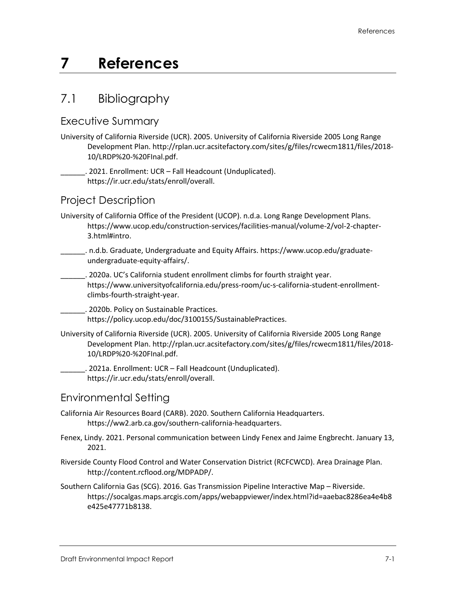# **7 References**

## 7.1 Bibliography

#### Executive Summary

University of California Riverside (UCR). 2005. University of California Riverside 2005 Long Range Development Plan. [http://rplan.ucr.acsitefactory.com/sites/g/files/rcwecm1811/files/2018-](http://rplan.ucr.acsitefactory.com/sites/g/files/rcwecm1811/files/2018-10/LRDP%20-%20FInal.pdf) [10/LRDP%20-%20FInal.pdf.](http://rplan.ucr.acsitefactory.com/sites/g/files/rcwecm1811/files/2018-10/LRDP%20-%20FInal.pdf)

\_\_\_\_\_\_. 2021. Enrollment: UCR – Fall Headcount (Unduplicated). [https://ir.ucr.edu/stats/enroll/overall.](https://ir.ucr.edu/stats/enroll/overall)

### Project Description

- University of California Office of the President (UCOP). n.d.a. Long Range Development Plans. [https://www.ucop.edu/construction-services/facilities-manual/volume-2/vol-2-chapter-](https://www.ucop.edu/construction-services/facilities-manual/volume-2/vol-2-chapter-3.html#intro)[3.html#intro.](https://www.ucop.edu/construction-services/facilities-manual/volume-2/vol-2-chapter-3.html#intro)
- \_\_\_\_\_\_. n.d.b. Graduate, Undergraduate and Equity Affairs. [https://www.ucop.edu/graduate](https://www.ucop.edu/graduate-undergraduate-equity-affairs/)[undergraduate-equity-affairs/.](https://www.ucop.edu/graduate-undergraduate-equity-affairs/)
	- . 2020a. UC's California student enrollment climbs for fourth straight year. [https://www.universityofcalifornia.edu/press-room/uc-s-california-student-enrollment](https://www.universityofcalifornia.edu/press-room/uc-s-california-student-enrollment-climbs-fourth-straight-year)[climbs-fourth-straight-year.](https://www.universityofcalifornia.edu/press-room/uc-s-california-student-enrollment-climbs-fourth-straight-year)

\_\_\_\_\_\_. 2020b. Policy on Sustainable Practices. [https://policy.ucop.edu/doc/3100155/SustainablePractices.](https://policy.ucop.edu/doc/3100155/SustainablePractices)

- University of California Riverside (UCR). 2005. University of California Riverside 2005 Long Range Development Plan. [http://rplan.ucr.acsitefactory.com/sites/g/files/rcwecm1811/files/2018-](http://rplan.ucr.acsitefactory.com/sites/g/files/rcwecm1811/files/2018-10/LRDP%20-%20FInal.pdf) [10/LRDP%20-%20FInal.pdf.](http://rplan.ucr.acsitefactory.com/sites/g/files/rcwecm1811/files/2018-10/LRDP%20-%20FInal.pdf) 
	- \_\_\_\_\_\_. 2021a. Enrollment: UCR Fall Headcount (Unduplicated). [https://ir.ucr.edu/stats/enroll/overall.](https://ir.ucr.edu/stats/enroll/overall)

#### Environmental Setting

- California Air Resources Board (CARB). 2020. Southern California Headquarters. [https://ww2.arb.ca.gov/southern-california-headquarters.](https://ww2.arb.ca.gov/southern-california-headquarters)
- Fenex, Lindy. 2021. Personal communication between Lindy Fenex and Jaime Engbrecht. January 13, 2021.
- Riverside County Flood Control and Water Conservation District (RCFCWCD). Area Drainage Plan. [http://content.rcflood.org/MDPADP/.](http://content.rcflood.org/MDPADP/)
- Southern California Gas (SCG). 2016. Gas Transmission Pipeline Interactive Map Riverside. [https://socalgas.maps.arcgis.com/apps/webappviewer/index.html?id=aaebac8286ea4e4b8](https://socalgas.maps.arcgis.com/apps/webappviewer/index.html?id=aaebac8286ea4e4b8e425e47771b8138) [e425e47771b8138.](https://socalgas.maps.arcgis.com/apps/webappviewer/index.html?id=aaebac8286ea4e4b8e425e47771b8138)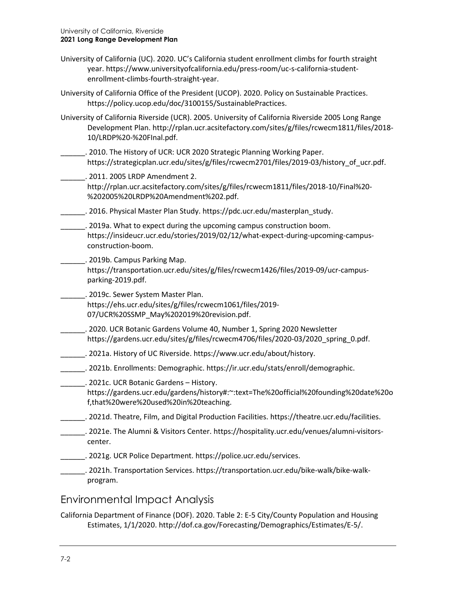- University of California (UC). 2020. UC's California student enrollment climbs for fourth straight year. [https://www.universityofcalifornia.edu/press-room/uc-s-california-student](https://www.universityofcalifornia.edu/press-room/uc-s-california-student-enrollment-climbs-fourth-straight-year)[enrollment-climbs-fourth-straight-year.](https://www.universityofcalifornia.edu/press-room/uc-s-california-student-enrollment-climbs-fourth-straight-year)
- University of California Office of the President (UCOP). 2020. Policy on Sustainable Practices. [https://policy.ucop.edu/doc/3100155/SustainablePractices.](https://policy.ucop.edu/doc/3100155/SustainablePractices)
- University of California Riverside (UCR). 2005. University of California Riverside 2005 Long Range Development Plan. [http://rplan.ucr.acsitefactory.com/sites/g/files/rcwecm1811/files/2018-](http://rplan.ucr.acsitefactory.com/sites/g/files/rcwecm1811/files/2018-10/LRDP%20-%20FInal.pdf) [10/LRDP%20-%20FInal.pdf.](http://rplan.ucr.acsitefactory.com/sites/g/files/rcwecm1811/files/2018-10/LRDP%20-%20FInal.pdf)
	- \_\_\_\_\_\_. 2010. The History of UCR: UCR 2020 Strategic Planning Working Paper. [https://strategicplan.ucr.edu/sites/g/files/rcwecm2701/files/2019-03/history\\_of\\_ucr.pdf.](https://strategicplan.ucr.edu/sites/g/files/rcwecm2701/files/2019-03/history_of_ucr.pdf)
	- \_\_\_\_\_\_. 2011. 2005 LRDP Amendment 2. [http://rplan.ucr.acsitefactory.com/sites/g/files/rcwecm1811/files/2018-10/Final%20-](http://rplan.ucr.acsitefactory.com/sites/g/files/rcwecm1811/files/2018-10/Final%20-%202005%20LRDP%20Amendment%202.pdf) [%202005%20LRDP%20Amendment%202.pdf.](http://rplan.ucr.acsitefactory.com/sites/g/files/rcwecm1811/files/2018-10/Final%20-%202005%20LRDP%20Amendment%202.pdf)
- \_\_\_\_\_\_. 2016. Physical Master Plan Study. [https://pdc.ucr.edu/masterplan\\_study.](https://pdc.ucr.edu/masterplan_study)
	- \_\_\_\_\_\_. 2019a. What to expect during the upcoming campus construction boom. [https://insideucr.ucr.edu/stories/2019/02/12/what-expect-during-upcoming-campus](https://insideucr.ucr.edu/stories/2019/02/12/what-expect-during-upcoming-campus-construction-boom)[construction-boom.](https://insideucr.ucr.edu/stories/2019/02/12/what-expect-during-upcoming-campus-construction-boom)
	- \_\_\_\_\_\_. 2019b. Campus Parking Map. [https://transportation.ucr.edu/sites/g/files/rcwecm1426/files/2019-09/ucr-campus](https://transportation.ucr.edu/sites/g/files/rcwecm1426/files/2019-09/ucr-campus-parking-2019.pdf)[parking-2019.pdf.](https://transportation.ucr.edu/sites/g/files/rcwecm1426/files/2019-09/ucr-campus-parking-2019.pdf)
- \_\_\_\_\_\_. 2019c. Sewer System Master Plan.
	- [https://ehs.ucr.edu/sites/g/files/rcwecm1061/files/2019-](https://ehs.ucr.edu/sites/g/files/rcwecm1061/files/2019-07/UCR%20SSMP_May%202019%20revision.pdf) [07/UCR%20SSMP\\_May%202019%20revision.pdf.](https://ehs.ucr.edu/sites/g/files/rcwecm1061/files/2019-07/UCR%20SSMP_May%202019%20revision.pdf)
- \_\_\_\_\_\_. 2020. UCR Botanic Gardens Volume 40, Number 1, Spring 2020 Newsletter [https://gardens.ucr.edu/sites/g/files/rcwecm4706/files/2020-03/2020\\_spring\\_0.pdf.](https://gardens.ucr.edu/sites/g/files/rcwecm4706/files/2020-03/2020_spring_0.pdf)
- \_\_\_\_\_\_. 2021a. History of UC Riverside. [https://www.ucr.edu/about/history.](https://www.ucr.edu/about/history)
- \_\_\_\_\_\_. 2021b. Enrollments: Demographic. [https://ir.ucr.edu/stats/enroll/demographic.](https://ir.ucr.edu/stats/enroll/demographic)

\_\_\_\_\_\_. 2021c. UCR Botanic Gardens – History. [https://gardens.ucr.edu/gardens/history#:~:text=The%20official%20founding%20date%20o](https://gardens.ucr.edu/gardens/history#:%7E:text=The%20official%20founding%20date%20of,that%20were%20used%20in%20teaching) [f,that%20were%20used%20in%20teaching.](https://gardens.ucr.edu/gardens/history#:%7E:text=The%20official%20founding%20date%20of,that%20were%20used%20in%20teaching)

- \_\_\_\_\_\_. 2021d. Theatre, Film, and Digital Production Facilities. [https://theatre.ucr.edu/facilities.](https://theatre.ucr.edu/facilities)
- \_\_\_\_\_\_. 2021e. The Alumni & Visitors Center. [https://hospitality.ucr.edu/venues/alumni-visitors](https://hospitality.ucr.edu/venues/alumni-visitors-center)[center.](https://hospitality.ucr.edu/venues/alumni-visitors-center)
- \_\_\_\_\_\_. 2021g. UCR Police Department[. https://police.ucr.edu/services.](https://police.ucr.edu/services)
- \_\_\_\_\_\_. 2021h. Transportation Services[. https://transportation.ucr.edu/bike-walk/bike-walk](https://transportation.ucr.edu/bike-walk/bike-walk-program)[program.](https://transportation.ucr.edu/bike-walk/bike-walk-program)

#### Environmental Impact Analysis

California Department of Finance (DOF). 2020. Table 2: E-5 City/County Population and Housing Estimates, 1/1/2020. [http://dof.ca.gov/Forecasting/Demographics/Estimates/E-5/.](http://dof.ca.gov/Forecasting/Demographics/Estimates/E-5/)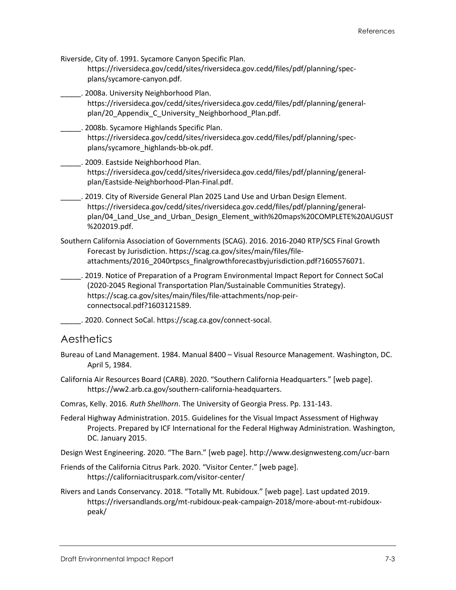Riverside, City of. 1991. Sycamore Canyon Specific Plan. [https://riversideca.gov/cedd/sites/riversideca.gov.cedd/files/pdf/planning/spec](https://riversideca.gov/cedd/sites/riversideca.gov.cedd/files/pdf/planning/spec-plans/sycamore-canyon.pdf)[plans/sycamore-canyon.pdf.](https://riversideca.gov/cedd/sites/riversideca.gov.cedd/files/pdf/planning/spec-plans/sycamore-canyon.pdf)

\_\_\_\_\_. 2008a. University Neighborhood Plan. [https://riversideca.gov/cedd/sites/riversideca.gov.cedd/files/pdf/planning/general](https://riversideca.gov/cedd/sites/riversideca.gov.cedd/files/pdf/planning/general-plan/20_Appendix_C_University_Neighborhood_Plan.pdf)plan/20 Appendix C University Neighborhood Plan.pdf.

\_\_\_\_\_. 2008b. Sycamore Highlands Specific Plan. [https://riversideca.gov/cedd/sites/riversideca.gov.cedd/files/pdf/planning/spec](https://riversideca.gov/cedd/sites/riversideca.gov.cedd/files/pdf/planning/spec-plans/sycamore_highlands-bb-ok.pdf)[plans/sycamore\\_highlands-bb-ok.pdf.](https://riversideca.gov/cedd/sites/riversideca.gov.cedd/files/pdf/planning/spec-plans/sycamore_highlands-bb-ok.pdf)

\_\_\_\_\_. 2009. Eastside Neighborhood Plan. [https://riversideca.gov/cedd/sites/riversideca.gov.cedd/files/pdf/planning/general](https://riversideca.gov/cedd/sites/riversideca.gov.cedd/files/pdf/planning/general-plan/Eastside-Neighborhood-Plan-Final.pdf)[plan/Eastside-Neighborhood-Plan-Final.pdf.](https://riversideca.gov/cedd/sites/riversideca.gov.cedd/files/pdf/planning/general-plan/Eastside-Neighborhood-Plan-Final.pdf)

- \_\_\_\_\_. 2019. City of Riverside General Plan 2025 Land Use and Urban Design Element. [https://riversideca.gov/cedd/sites/riversideca.gov.cedd/files/pdf/planning/general](https://riversideca.gov/cedd/sites/riversideca.gov.cedd/files/pdf/planning/general-plan/04_Land_Use_and_Urban_Design_Element_with%20maps%20COMPLETE%20AUGUST%202019.pdf)[plan/04\\_Land\\_Use\\_and\\_Urban\\_Design\\_Element\\_with%20maps%20COMPLETE%20AUGUST](https://riversideca.gov/cedd/sites/riversideca.gov.cedd/files/pdf/planning/general-plan/04_Land_Use_and_Urban_Design_Element_with%20maps%20COMPLETE%20AUGUST%202019.pdf) [%202019.pdf.](https://riversideca.gov/cedd/sites/riversideca.gov.cedd/files/pdf/planning/general-plan/04_Land_Use_and_Urban_Design_Element_with%20maps%20COMPLETE%20AUGUST%202019.pdf)
- Southern California Association of Governments (SCAG). 2016. 2016-2040 RTP/SCS Final Growth Forecast by Jurisdiction. [https://scag.ca.gov/sites/main/files/file](https://scag.ca.gov/sites/main/files/file-attachments/2016_2040rtpscs_finalgrowthforecastbyjurisdiction.pdf?1605576071)[attachments/2016\\_2040rtpscs\\_finalgrowthforecastbyjurisdiction.pdf?1605576071.](https://scag.ca.gov/sites/main/files/file-attachments/2016_2040rtpscs_finalgrowthforecastbyjurisdiction.pdf?1605576071)
- \_\_\_\_\_. 2019. Notice of Preparation of a Program Environmental Impact Report for Connect SoCal (2020-2045 Regional Transportation Plan/Sustainable Communities Strategy). [https://scag.ca.gov/sites/main/files/file-attachments/nop-peir](https://scag.ca.gov/sites/main/files/file-attachments/nop-peir-connectsocal.pdf?1603121589)[connectsocal.pdf?1603121589.](https://scag.ca.gov/sites/main/files/file-attachments/nop-peir-connectsocal.pdf?1603121589)
- \_\_\_\_\_. 2020. Connect SoCal. [https://scag.ca.gov/connect-socal.](https://scag.ca.gov/connect-socal)

#### **Aesthetics**

- Bureau of Land Management. 1984. Manual 8400 Visual Resource Management. Washington, DC. April 5, 1984.
- California Air Resources Board (CARB). 2020. "Southern California Headquarters." [web page]. [https://ww2.arb.ca.gov/southern-california-headquarters.](https://ww2.arb.ca.gov/southern-california-headquarters)
- Comras, Kelly. 2016*. Ruth Shellhorn*. The University of Georgia Press. Pp. 131-143.
- Federal Highway Administration. 2015. Guidelines for the Visual Impact Assessment of Highway Projects. Prepared by ICF International for the Federal Highway Administration. Washington, DC. January 2015.

Design West Engineering. 2020. "The Barn." [web page].<http://www.designwesteng.com/ucr-barn>

- Friends of the California Citrus Park. 2020. "Visitor Center." [web page]. <https://californiacitruspark.com/visitor-center/>
- Rivers and Lands Conservancy. 2018. "Totally Mt. Rubidoux." [web page]. Last updated 2019. [https://riversandlands.org/mt-rubidoux-peak-campaign-2018/more-about-mt-rubidoux](https://riversandlands.org/mt-rubidoux-peak-campaign-2018/more-about-mt-rubidoux-peak/)[peak/](https://riversandlands.org/mt-rubidoux-peak-campaign-2018/more-about-mt-rubidoux-peak/)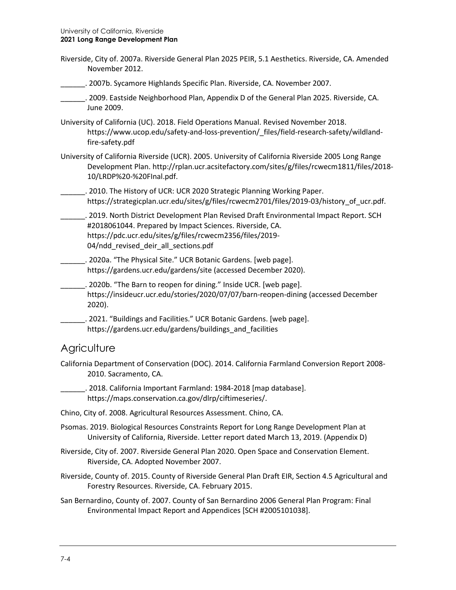- Riverside, City of. 2007a. Riverside General Plan 2025 PEIR, 5.1 Aesthetics. Riverside, CA. Amended November 2012.
	- \_\_\_\_\_\_. 2007b. Sycamore Highlands Specific Plan. Riverside, CA. November 2007.
- \_\_\_\_\_\_. 2009. Eastside Neighborhood Plan, Appendix D of the General Plan 2025. Riverside, CA. June 2009.
- University of California (UC). 2018. Field Operations Manual. Revised November 2018. [https://www.ucop.edu/safety-and-loss-prevention/\\_files/field-research-safety/wildland](https://www.ucop.edu/safety-and-loss-prevention/_files/field-research-safety/wildland-fire-safety.pdf)[fire-safety.pdf](https://www.ucop.edu/safety-and-loss-prevention/_files/field-research-safety/wildland-fire-safety.pdf)
- University of California Riverside (UCR). 2005. University of California Riverside 2005 Long Range Development Plan. [http://rplan.ucr.acsitefactory.com/sites/g/files/rcwecm1811/files/2018-](http://rplan.ucr.acsitefactory.com/sites/g/files/rcwecm1811/files/2018-10/LRDP%20-%20FInal.pdf) [10/LRDP%20-%20FInal.pdf.](http://rplan.ucr.acsitefactory.com/sites/g/files/rcwecm1811/files/2018-10/LRDP%20-%20FInal.pdf)
- **\_\_\_\_\_\_\_**. 2010. The History of UCR: UCR 2020 Strategic Planning Working Paper. https://strategicplan.ucr.edu/sites/g/files/rcwecm2701/files/2019-03/history of ucr.pdf.

\_\_\_\_\_\_. 2019. North District Development Plan Revised Draft Environmental Impact Report. SCH #2018061044. Prepared by Impact Sciences. Riverside, CA. https://pdc.ucr.edu/sites/g/files/rcwecm2356/files/2019- 04/ndd revised deir all sections.pdf

- \_\_\_\_\_\_. 2020a. "The Physical Site." UCR Botanic Gardens. [web page]. <https://gardens.ucr.edu/gardens/site> (accessed December 2020).
- \_\_\_\_\_\_. 2020b. "The Barn to reopen for dining." Inside UCR. [web page]. <https://insideucr.ucr.edu/stories/2020/07/07/barn-reopen-dining> (accessed December 2020).
- \_\_\_\_\_\_. 2021. "Buildings and Facilities." UCR Botanic Gardens. [web page]. https://gardens.ucr.edu/gardens/buildings and facilities

#### **Agriculture**

California Department of Conservation (DOC). 2014. California Farmland Conversion Report 2008- 2010. Sacramento, CA.

\_\_\_\_\_\_. 2018. California Important Farmland: 1984-2018 [map database]. [https://maps.conservation.ca.gov/dlrp/ciftimeseries/.](https://maps.conservation.ca.gov/dlrp/ciftimeseries/)

- Chino, City of. 2008. Agricultural Resources Assessment. Chino, CA.
- Psomas. 2019. Biological Resources Constraints Report for Long Range Development Plan at University of California, Riverside. Letter report dated March 13, 2019. (Appendix D)
- Riverside, City of. 2007. Riverside General Plan 2020. Open Space and Conservation Element. Riverside, CA. Adopted November 2007.
- Riverside, County of. 2015. County of Riverside General Plan Draft EIR, Section 4.5 Agricultural and Forestry Resources. Riverside, CA. February 2015.
- San Bernardino, County of. 2007. County of San Bernardino 2006 General Plan Program: Final Environmental Impact Report and Appendices [SCH #2005101038].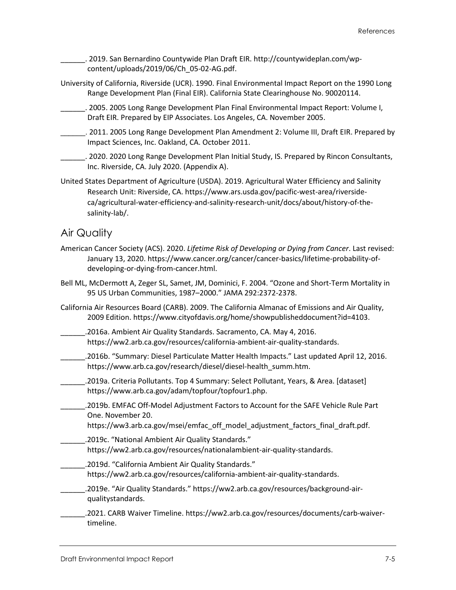\_\_\_\_\_\_. 2019. San Bernardino Countywide Plan Draft EIR. [http://countywideplan.com/wp](http://countywideplan.com/wp-content/uploads/2019/06/Ch_05-02-AG.pdf)[content/uploads/2019/06/Ch\\_05-02-AG.pdf.](http://countywideplan.com/wp-content/uploads/2019/06/Ch_05-02-AG.pdf)

University of California, Riverside (UCR). 1990. Final Environmental Impact Report on the 1990 Long Range Development Plan (Final EIR). California State Clearinghouse No. 90020114.

\_\_\_\_\_\_. 2005. 2005 Long Range Development Plan Final Environmental Impact Report: Volume I, Draft EIR. Prepared by EIP Associates. Los Angeles, CA. November 2005.

\_\_\_\_\_\_. 2011. 2005 Long Range Development Plan Amendment 2: Volume III, Draft EIR. Prepared by Impact Sciences, Inc. Oakland, CA. October 2011.

\_\_\_\_\_\_. 2020. 2020 Long Range Development Plan Initial Study, IS. Prepared by Rincon Consultants, Inc. Riverside, CA. July 2020. (Appendix A).

United States Department of Agriculture (USDA). 2019. Agricultural Water Efficiency and Salinity Research Unit: Riverside, CA[. https://www.ars.usda.gov/pacific-west-area/riverside](https://www.ars.usda.gov/pacific-west-area/riverside-ca/agricultural-water-efficiency-and-salinity-research-unit/docs/about/history-of-the-salinity-lab/)[ca/agricultural-water-efficiency-and-salinity-research-unit/docs/about/history-of-the](https://www.ars.usda.gov/pacific-west-area/riverside-ca/agricultural-water-efficiency-and-salinity-research-unit/docs/about/history-of-the-salinity-lab/)[salinity-lab/.](https://www.ars.usda.gov/pacific-west-area/riverside-ca/agricultural-water-efficiency-and-salinity-research-unit/docs/about/history-of-the-salinity-lab/)

#### Air Quality

- American Cancer Society (ACS). 2020. *Lifetime Risk of Developing or Dying from Cancer*. Last revised: January 13, 2020. [https://www.cancer.org/cancer/cancer-basics/lifetime-probability-of](https://www.cancer.org/cancer/cancer-basics/lifetime-probability-of-developing-or-dying-from-cancer.html)[developing-or-dying-from-cancer.html.](https://www.cancer.org/cancer/cancer-basics/lifetime-probability-of-developing-or-dying-from-cancer.html)
- Bell ML, McDermott A, Zeger SL, Samet, JM, Dominici, F. 2004. "Ozone and Short-Term Mortality in 95 US Urban Communities, 1987–2000." JAMA 292:2372-2378.
- California Air Resources Board (CARB). 2009. The California Almanac of Emissions and Air Quality, 2009 Edition. [https://www.cityofdavis.org/home/showpublisheddocument?id=4103.](https://www.cityofdavis.org/home/showpublisheddocument?id=4103)
- \_\_\_\_\_\_.2016a. Ambient Air Quality Standards. Sacramento, CA. May 4, 2016. [https://ww2.arb.ca.gov/resources/california-ambient-air-quality-standards.](https://ww2.arb.ca.gov/resources/california-ambient-air-quality-standards)
- \_\_\_\_\_\_.2016b. "Summary: Diesel Particulate Matter Health Impacts." Last updated April 12, 2016. [https://www.arb.ca.gov/research/diesel/diesel-health\\_summ.htm.](https://www.arb.ca.gov/research/diesel/diesel-health_summ.htm)
- \_\_\_\_\_\_.2019a. Criteria Pollutants. Top 4 Summary: Select Pollutant, Years, & Area. [dataset] [https://www.arb.ca.gov/adam/topfour/topfour1.php.](https://www.arb.ca.gov/adam/topfour/topfour1.php.%20(accessed%20October%202020).)
- \_\_\_\_\_\_.2019b. EMFAC Off-Model Adjustment Factors to Account for the SAFE Vehicle Rule Part One. November 20.
	- [https://ww3.arb.ca.gov/msei/emfac\\_off\\_model\\_adjustment\\_factors\\_final\\_draft.pdf.](https://ww3.arb.ca.gov/msei/emfac_off_model_adjustment_factors_final_draft.pdf)
- \_\_\_\_\_\_.2019c. "National Ambient Air Quality Standards." [https://ww2.arb.ca.gov/resources/nationalambient-air-quality-standards.](https://ww2.arb.ca.gov/resources/nationalambient-air-quality-standards)
- \_\_\_\_\_\_.2019d. "California Ambient Air Quality Standards."
	- [https://ww2.arb.ca.gov/resources/california-ambient-air-quality-standards.](https://ww2.arb.ca.gov/resources/california-ambient-air-quality-standards)
- .2019e. "Air Quality Standards." [https://ww2.arb.ca.gov/resources/background-air](https://ww2.arb.ca.gov/resources/background-air-qualitystandards)[qualitystandards.](https://ww2.arb.ca.gov/resources/background-air-qualitystandards)
- \_\_\_\_\_\_.2021. CARB Waiver Timeline. [https://ww2.arb.ca.gov/resources/documents/carb-waiver](https://ww2.arb.ca.gov/resources/documents/carb-waiver-timeline)[timeline.](https://ww2.arb.ca.gov/resources/documents/carb-waiver-timeline)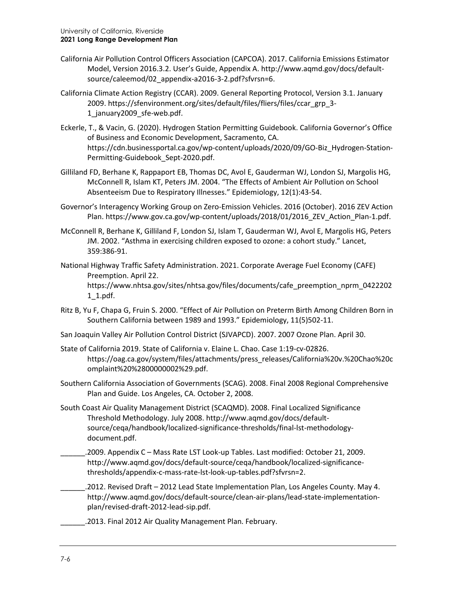- California Air Pollution Control Officers Association (CAPCOA). 2017. California Emissions Estimator Model, Version 2016.3.2. User's Guide, Appendix A[. http://www.aqmd.gov/docs/default](http://www.aqmd.gov/docs/default-source/caleemod/02_appendix-a2016-3-2.pdf?sfvrsn=6)[source/caleemod/02\\_appendix-a2016-3-2.pdf?sfvrsn=6.](http://www.aqmd.gov/docs/default-source/caleemod/02_appendix-a2016-3-2.pdf?sfvrsn=6)
- California Climate Action Registry (CCAR). 2009. General Reporting Protocol, Version 3.1. January 2009. [https://sfenvironment.org/sites/default/files/fliers/files/ccar\\_grp\\_3-](https://sfenvironment.org/sites/default/files/fliers/files/ccar_grp_3-1_january2009_sfe-web.pdf) [1\\_january2009\\_sfe-web.pdf.](https://sfenvironment.org/sites/default/files/fliers/files/ccar_grp_3-1_january2009_sfe-web.pdf)
- Eckerle, T., & Vacin, G. (2020). Hydrogen Station Permitting Guidebook. California Governor's Office of Business and Economic Development, Sacramento, CA. [https://cdn.businessportal.ca.gov/wp-content/uploads/2020/09/GO-Biz\\_Hydrogen-Station-](https://cdn.businessportal.ca.gov/wp-content/uploads/2020/09/GO-Biz_Hydrogen-Station-Permitting-Guidebook_Sept-2020.pdf)[Permitting-Guidebook\\_Sept-2020.pdf.](https://cdn.businessportal.ca.gov/wp-content/uploads/2020/09/GO-Biz_Hydrogen-Station-Permitting-Guidebook_Sept-2020.pdf)
- Gilliland FD, Berhane K, Rappaport EB, Thomas DC, Avol E, Gauderman WJ, London SJ, Margolis HG, McConnell R, Islam KT, Peters JM. 2004. "The Effects of Ambient Air Pollution on School Absenteeism Due to Respiratory Illnesses." Epidemiology, 12(1):43-54.
- Governor's Interagency Working Group on Zero-Emission Vehicles. 2016 (October). 2016 ZEV Action Plan. [https://www.gov.ca.gov/wp-content/uploads/2018/01/2016\\_ZEV\\_Action\\_Plan-1.pdf.](https://www.gov.ca.gov/wp-content/uploads/2018/01/2016_ZEV_Action_Plan-1.pdf)
- McConnell R, Berhane K, Gilliland F, London SJ, Islam T, Gauderman WJ, Avol E, Margolis HG, Peters JM. 2002. "Asthma in exercising children exposed to ozone: a cohort study." Lancet, 359:386-91.
- National Highway Traffic Safety Administration. 2021. Corporate Average Fuel Economy (CAFE) Preemption. April 22. [https://www.nhtsa.gov/sites/nhtsa.gov/files/documents/cafe\\_preemption\\_nprm\\_0422202](https://www.nhtsa.gov/sites/nhtsa.gov/files/documents/cafe_preemption_nprm_04222021_1.pdf) [1\\_1.pdf.](https://www.nhtsa.gov/sites/nhtsa.gov/files/documents/cafe_preemption_nprm_04222021_1.pdf)
- Ritz B, Yu F, Chapa G, Fruin S. 2000. "Effect of Air Pollution on Preterm Birth Among Children Born in Southern California between 1989 and 1993." Epidemiology, 11(5)502-11.
- San Joaquin Valley Air Pollution Control District (SJVAPCD). 2007. 2007 Ozone Plan. April 30.
- State of California 2019. State of California v. Elaine L. Chao. Case 1:19-cv-02826. [https://oag.ca.gov/system/files/attachments/press\\_releases/California%20v.%20Chao%20c](https://oag.ca.gov/system/files/attachments/press_releases/California%20v.%20Chao%20complaint%20%2800000002%29.pdf) [omplaint%20%2800000002%29.pdf.](https://oag.ca.gov/system/files/attachments/press_releases/California%20v.%20Chao%20complaint%20%2800000002%29.pdf)
- Southern California Association of Governments (SCAG). 2008. Final 2008 Regional Comprehensive Plan and Guide. Los Angeles, CA. October 2, 2008.
- South Coast Air Quality Management District (SCAQMD). 2008. Final Localized Significance Threshold Methodology. July 2008. [http://www.aqmd.gov/docs/default](http://www.aqmd.gov/docs/default-source/ceqa/handbook/localized-significance-thresholds/final-lst-methodology-document.pdf)[source/ceqa/handbook/localized-significance-thresholds/final-lst-methodology](http://www.aqmd.gov/docs/default-source/ceqa/handbook/localized-significance-thresholds/final-lst-methodology-document.pdf)[document.pdf.](http://www.aqmd.gov/docs/default-source/ceqa/handbook/localized-significance-thresholds/final-lst-methodology-document.pdf)
	- \_\_\_\_\_\_.2009. Appendix C Mass Rate LST Look-up Tables. Last modified: October 21, 2009. [http://www.aqmd.gov/docs/default-source/ceqa/handbook/localized-significance](http://www.aqmd.gov/docs/default-source/ceqa/handbook/localized-significance-thresholds/appendix-c-mass-rate-lst-look-up-tables.pdf?sfvrsn=2)[thresholds/appendix-c-mass-rate-lst-look-up-tables.pdf?sfvrsn=2.](http://www.aqmd.gov/docs/default-source/ceqa/handbook/localized-significance-thresholds/appendix-c-mass-rate-lst-look-up-tables.pdf?sfvrsn=2)
	- \_\_\_\_\_\_.2012. Revised Draft 2012 Lead State Implementation Plan, Los Angeles County. May 4. [http://www.aqmd.gov/docs/default-source/clean-air-plans/lead-state-implementation](http://www.aqmd.gov/docs/default-source/clean-air-plans/lead-state-implementation-plan/revised-draft-2012-lead-sip.pdf)[plan/revised-draft-2012-lead-sip.pdf.](http://www.aqmd.gov/docs/default-source/clean-air-plans/lead-state-implementation-plan/revised-draft-2012-lead-sip.pdf)
	- \_\_\_\_\_\_.2013. Final 2012 Air Quality Management Plan. February.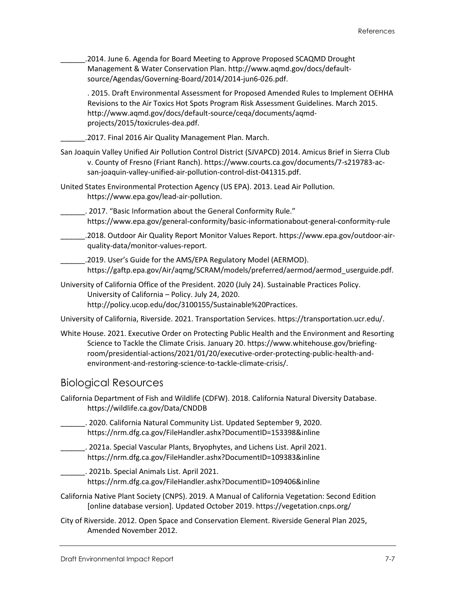\_\_\_\_\_\_.2014. June 6. Agenda for Board Meeting to Approve Proposed SCAQMD Drought Management & Water Conservation Plan[. http://www.aqmd.gov/docs/default](http://www.aqmd.gov/docs/default-source/Agendas/Governing-Board/2014/2014-jun6-026.pdf)[source/Agendas/Governing-Board/2014/2014-jun6-026.pdf.](http://www.aqmd.gov/docs/default-source/Agendas/Governing-Board/2014/2014-jun6-026.pdf)

. 2015. Draft Environmental Assessment for Proposed Amended Rules to Implement OEHHA Revisions to the Air Toxics Hot Spots Program Risk Assessment Guidelines. March 2015. [http://www.aqmd.gov/docs/default-source/ceqa/documents/aqmd](http://www.aqmd.gov/docs/default-source/ceqa/documents/aqmd-projects/2015/toxicrules-dea.pdf)[projects/2015/toxicrules-dea.pdf.](http://www.aqmd.gov/docs/default-source/ceqa/documents/aqmd-projects/2015/toxicrules-dea.pdf)

\_\_\_\_\_\_.2017. Final 2016 Air Quality Management Plan. March.

- San Joaquin Valley Unified Air Pollution Control District (SJVAPCD) 2014. Amicus Brief in Sierra Club v. County of Fresno (Friant Ranch). [https://www.courts.ca.gov/documents/7-s219783-ac](https://www.courts.ca.gov/documents/7-s219783-ac-san-joaquin-valley-unified-air-pollution-control-dist-041315.pdf)[san-joaquin-valley-unified-air-pollution-control-dist-041315.pdf.](https://www.courts.ca.gov/documents/7-s219783-ac-san-joaquin-valley-unified-air-pollution-control-dist-041315.pdf)
- United States Environmental Protection Agency (US EPA). 2013. Lead Air Pollution. [https://www.epa.gov/lead-air-pollution.](https://www.epa.gov/lead-air-pollution)

\_\_\_\_\_\_. 2017. "Basic Information about the General Conformity Rule." https://www.epa.gov/general-conformity/basic-informationabout-general-conformity-rule

\_\_\_\_\_\_.2018. Outdoor Air Quality Report Monitor Values Report. [https://www.epa.gov/outdoor-air](https://www.epa.gov/outdoor-air-quality-data/monitor-values-report)[quality-data/monitor-values-report.](https://www.epa.gov/outdoor-air-quality-data/monitor-values-report)

\_\_\_\_\_\_.2019. User's Guide for the AMS/EPA Regulatory Model (AERMOD). [https://gaftp.epa.gov/Air/aqmg/SCRAM/models/preferred/aermod/aermod\\_userguide.pdf.](https://gaftp.epa.gov/Air/aqmg/SCRAM/models/preferred/aermod/aermod_userguide.pdf)

University of California Office of the President. 2020 (July 24). Sustainable Practices Policy. University of California – Policy. July 24, 2020. [http://policy.ucop.edu/doc/3100155/Sustainable%20Practices.](http://policy.ucop.edu/doc/3100155/Sustainable%20Practices)

University of California, Riverside. 2021. Transportation Services. [https://transportation.ucr.edu/.](https://transportation.ucr.edu/)

White House. 2021. Executive Order on Protecting Public Health and the Environment and Resorting Science to Tackle the Climate Crisis. January 20. [https://www.whitehouse.gov/briefing](https://www.whitehouse.gov/briefing-room/presidential-actions/2021/01/20/executive-order-protecting-public-health-and-environment-and-restoring-science-to-tackle-climate-crisis/)[room/presidential-actions/2021/01/20/executive-order-protecting-public-health-and](https://www.whitehouse.gov/briefing-room/presidential-actions/2021/01/20/executive-order-protecting-public-health-and-environment-and-restoring-science-to-tackle-climate-crisis/)[environment-and-restoring-science-to-tackle-climate-crisis/.](https://www.whitehouse.gov/briefing-room/presidential-actions/2021/01/20/executive-order-protecting-public-health-and-environment-and-restoring-science-to-tackle-climate-crisis/)

#### Biological Resources

- California Department of Fish and Wildlife (CDFW). 2018. California Natural Diversity Database. https://wildlife.ca.gov/Data/CNDDB
- \_\_\_\_\_\_. 2020. California Natural Community List. Updated September 9, 2020. https://nrm.dfg.ca.gov/FileHandler.ashx?DocumentID=153398&inline
- \_\_\_\_\_\_. 2021a. Special Vascular Plants, Bryophytes, and Lichens List. April 2021. <https://nrm.dfg.ca.gov/FileHandler.ashx?DocumentID=109383&inline>
- \_\_\_\_\_\_. 2021b. Special Animals List. April 2021. https://nrm.dfg.ca.gov/FileHandler.ashx?DocumentID=109406&inline
- California Native Plant Society (CNPS). 2019. A Manual of California Vegetation: Second Edition [online database version]. Updated October 2019. https://vegetation.cnps.org/
- City of Riverside. 2012. Open Space and Conservation Element. Riverside General Plan 2025, Amended November 2012.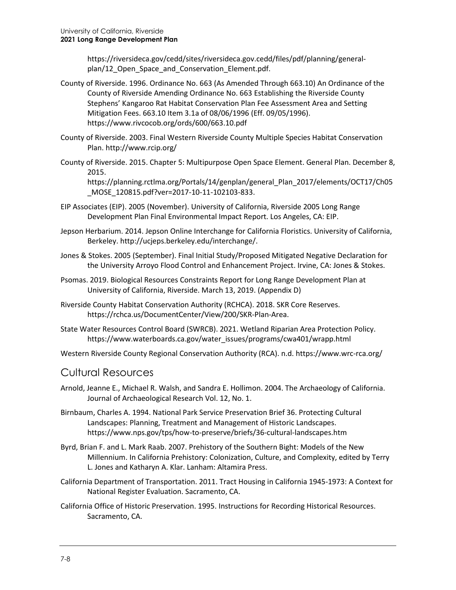[https://riversideca.gov/cedd/sites/riversideca.gov.cedd/files/pdf/planning/general](https://riversideca.gov/cedd/sites/riversideca.gov.cedd/files/pdf/planning/general-plan/12_Open_Space_and_Conservation_Element.pdf)[plan/12\\_Open\\_Space\\_and\\_Conservation\\_Element.pdf.](https://riversideca.gov/cedd/sites/riversideca.gov.cedd/files/pdf/planning/general-plan/12_Open_Space_and_Conservation_Element.pdf)

- County of Riverside. 1996. Ordinance No. 663 (As Amended Through 663.10) An Ordinance of the County of Riverside Amending Ordinance No. 663 Establishing the Riverside County Stephens' Kangaroo Rat Habitat Conservation Plan Fee Assessment Area and Setting Mitigation Fees. 663.10 Item 3.1a of 08/06/1996 (Eff. 09/05/1996). https://www.rivcocob.org/ords/600/663.10.pdf
- County of Riverside. 2003. Final Western Riverside County Multiple Species Habitat Conservation Plan.<http://www.rcip.org/>
- County of Riverside. 2015. Chapter 5: Multipurpose Open Space Element. General Plan. December 8, 2015.

[https://planning.rctlma.org/Portals/14/genplan/general\\_Plan\\_2017/elements/OCT17/Ch05](https://planning.rctlma.org/Portals/14/genplan/general_Plan_2017/elements/OCT17/Ch05_MOSE_120815.pdf?ver=2017-10-11-102103-833) [\\_MOSE\\_120815.pdf?ver=2017-10-11-102103-833.](https://planning.rctlma.org/Portals/14/genplan/general_Plan_2017/elements/OCT17/Ch05_MOSE_120815.pdf?ver=2017-10-11-102103-833)

- EIP Associates (EIP). 2005 (November). University of California, Riverside 2005 Long Range Development Plan Final Environmental Impact Report. Los Angeles, CA: EIP.
- Jepson Herbarium. 2014. Jepson Online Interchange for California Floristics. University of California, Berkeley[. http://ucjeps.berkeley.edu/interchange/.](http://ucjeps.berkeley.edu/interchange/)
- Jones & Stokes. 2005 (September). Final Initial Study/Proposed Mitigated Negative Declaration for the University Arroyo Flood Control and Enhancement Project. Irvine, CA: Jones & Stokes.
- Psomas. 2019. Biological Resources Constraints Report for Long Range Development Plan at University of California, Riverside. March 13, 2019. (Appendix D)
- Riverside County Habitat Conservation Authority (RCHCA). 2018. SKR Core Reserves. <https://rchca.us/DocumentCenter/View/200/SKR-Plan-Area.>
- State Water Resources Control Board (SWRCB). 2021. Wetland Riparian Area Protection Policy. [https://www.waterboards.ca.gov/water\\_issues/programs/cwa401/wrapp.html](https://www.waterboards.ca.gov/water_issues/programs/cwa401/wrapp.html)

Western Riverside County Regional Conservation Authority (RCA). n.d. https://www.wrc-rca.org/

#### Cultural Resources

- Arnold, Jeanne E., Michael R. Walsh, and Sandra E. Hollimon. 2004. The Archaeology of California. Journal of Archaeological Research Vol. 12, No. 1.
- Birnbaum, Charles A. 1994. National Park Service Preservation Brief 36. Protecting Cultural Landscapes: Planning, Treatment and Management of Historic Landscapes. https://www.nps.gov/tps/how-to-preserve/briefs/36-cultural-landscapes.htm
- Byrd, Brian F. and L. Mark Raab. 2007. Prehistory of the Southern Bight: Models of the New Millennium. In California Prehistory: Colonization, Culture, and Complexity, edited by Terry L. Jones and Katharyn A. Klar. Lanham: Altamira Press.
- California Department of Transportation. 2011. Tract Housing in California 1945-1973: A Context for National Register Evaluation. Sacramento, CA.
- California Office of Historic Preservation. 1995. Instructions for Recording Historical Resources. Sacramento, CA.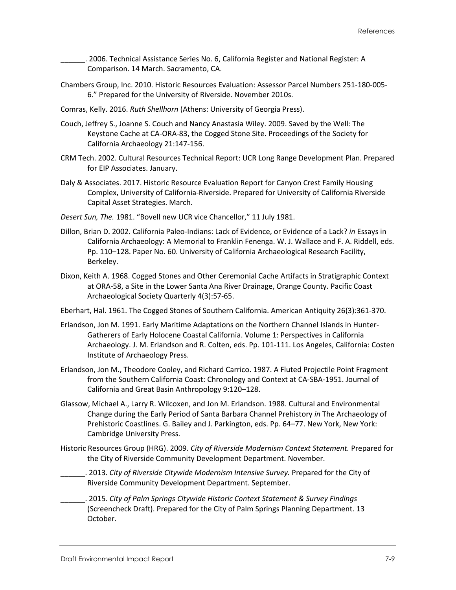\_\_\_\_\_\_. 2006. Technical Assistance Series No. 6, California Register and National Register: A Comparison. 14 March. Sacramento, CA.

- Chambers Group, Inc. 2010. Historic Resources Evaluation: Assessor Parcel Numbers 251-180-005- 6." Prepared for the University of Riverside. November 2010s.
- Comras, Kelly. 2016. *Ruth Shellhorn* (Athens: University of Georgia Press).
- Couch, Jeffrey S., Joanne S. Couch and Nancy Anastasia Wiley. 2009. Saved by the Well: The Keystone Cache at CA-ORA-83, the Cogged Stone Site. Proceedings of the Society for California Archaeology 21:147-156.
- CRM Tech. 2002. Cultural Resources Technical Report: UCR Long Range Development Plan. Prepared for EIP Associates. January.
- Daly & Associates. 2017. Historic Resource Evaluation Report for Canyon Crest Family Housing Complex, University of California-Riverside. Prepared for University of California Riverside Capital Asset Strategies. March.
- *Desert Sun, The.* 1981. "Bovell new UCR vice Chancellor," 11 July 1981.
- Dillon, Brian D. 2002. California Paleo-Indians: Lack of Evidence, or Evidence of a Lack? *in* Essays in California Archaeology: A Memorial to Franklin Fenenga. W. J. Wallace and F. A. Riddell, eds. Pp. 110–128. Paper No. 60. University of California Archaeological Research Facility, Berkeley.
- Dixon, Keith A. 1968. Cogged Stones and Other Ceremonial Cache Artifacts in Stratigraphic Context at ORA-58, a Site in the Lower Santa Ana River Drainage, Orange County. Pacific Coast Archaeological Society Quarterly 4(3):57-65.
- Eberhart, Hal. 1961. The Cogged Stones of Southern California. American Antiquity 26(3):361-370.
- Erlandson, Jon M. 1991. Early Maritime Adaptations on the Northern Channel Islands in Hunter-Gatherers of Early Holocene Coastal California. Volume 1: Perspectives in California Archaeology. J. M. Erlandson and R. Colten, eds. Pp. 101-111. Los Angeles, California: Costen Institute of Archaeology Press.
- Erlandson, Jon M., Theodore Cooley, and Richard Carrico. 1987. A Fluted Projectile Point Fragment from the Southern California Coast: Chronology and Context at CA-SBA-1951. Journal of California and Great Basin Anthropology 9:120–128.
- Glassow, Michael A., Larry R. Wilcoxen, and Jon M. Erlandson. 1988. Cultural and Environmental Change during the Early Period of Santa Barbara Channel Prehistory *in* The Archaeology of Prehistoric Coastlines. G. Bailey and J. Parkington, eds. Pp. 64–77. New York, New York: Cambridge University Press.
- Historic Resources Group (HRG). 2009. *City of Riverside Modernism Context Statement.* Prepared for the City of Riverside Community Development Department. November.
- \_\_\_\_\_\_. 2013. *City of Riverside Citywide Modernism Intensive Survey.* Prepared for the City of Riverside Community Development Department. September.
- \_\_\_\_\_\_. 2015. *City of Palm Springs Citywide Historic Context Statement & Survey Findings*  (Screencheck Draft). Prepared for the City of Palm Springs Planning Department. 13 October.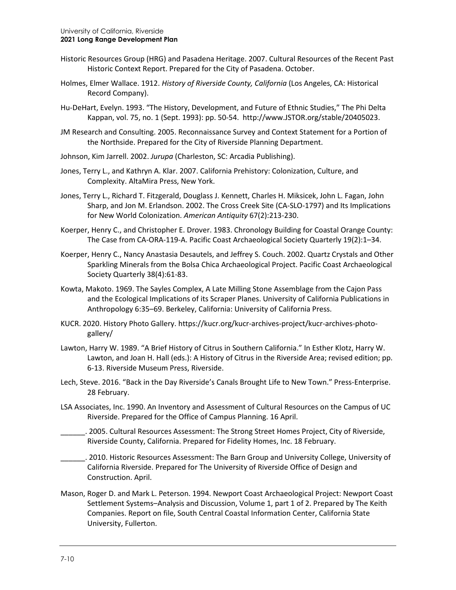- Historic Resources Group (HRG) and Pasadena Heritage. 2007. Cultural Resources of the Recent Past Historic Context Report. Prepared for the City of Pasadena. October.
- Holmes, Elmer Wallace. 1912. *History of Riverside County, California* (Los Angeles, CA: Historical Record Company).
- Hu-DeHart, Evelyn. 1993. "The History, Development, and Future of Ethnic Studies," The Phi Delta Kappan, vol. 75, no. 1 (Sept. 1993): pp. 50-54. http://www.JSTOR.org/stable/20405023.
- JM Research and Consulting. 2005. Reconnaissance Survey and Context Statement for a Portion of the Northside. Prepared for the City of Riverside Planning Department.
- Johnson, Kim Jarrell. 2002. *Jurupa* (Charleston, SC: Arcadia Publishing).
- Jones, Terry L., and Kathryn A. Klar. 2007. California Prehistory: Colonization, Culture, and Complexity. AltaMira Press, New York.
- Jones, Terry L., Richard T. Fitzgerald, Douglass J. Kennett, Charles H. Miksicek, John L. Fagan, John Sharp, and Jon M. Erlandson. 2002. The Cross Creek Site (CA-SLO-1797) and Its Implications for New World Colonization. *American Antiquity* 67(2):213-230.
- Koerper, Henry C., and Christopher E. Drover. 1983. Chronology Building for Coastal Orange County: The Case from CA-ORA-119-A. Pacific Coast Archaeological Society Quarterly 19(2):1–34.
- Koerper, Henry C., Nancy Anastasia Desautels, and Jeffrey S. Couch. 2002. Quartz Crystals and Other Sparkling Minerals from the Bolsa Chica Archaeological Project. Pacific Coast Archaeological Society Quarterly 38(4):61-83.
- Kowta, Makoto. 1969. The Sayles Complex, A Late Milling Stone Assemblage from the Cajon Pass and the Ecological Implications of its Scraper Planes. University of California Publications in Anthropology 6:35–69. Berkeley, California: University of California Press.
- KUCR. 2020. History Photo Gallery. [https://kucr.org/kucr-archives-project/kucr-archives-photo](https://kucr.org/kucr-archives-project/kucr-archives-photo-gallery/)[gallery/](https://kucr.org/kucr-archives-project/kucr-archives-photo-gallery/)
- Lawton, Harry W. 1989. "A Brief History of Citrus in Southern California." In Esther Klotz, Harry W. Lawton, and Joan H. Hall (eds.): A History of Citrus in the Riverside Area; revised edition; pp. 6-13. Riverside Museum Press, Riverside.
- Lech, Steve. 2016. "Back in the Day Riverside's Canals Brought Life to New Town." Press-Enterprise. 28 February.
- LSA Associates, Inc. 1990. An Inventory and Assessment of Cultural Resources on the Campus of UC Riverside. Prepared for the Office of Campus Planning. 16 April.
- \_\_\_\_\_\_. 2005. Cultural Resources Assessment: The Strong Street Homes Project, City of Riverside, Riverside County, California. Prepared for Fidelity Homes, Inc. 18 February.
- \_\_\_\_\_\_. 2010. Historic Resources Assessment: The Barn Group and University College, University of California Riverside. Prepared for The University of Riverside Office of Design and Construction. April.
- Mason, Roger D. and Mark L. Peterson. 1994. Newport Coast Archaeological Project: Newport Coast Settlement Systems–Analysis and Discussion, Volume 1, part 1 of 2. Prepared by The Keith Companies. Report on file, South Central Coastal Information Center, California State University, Fullerton.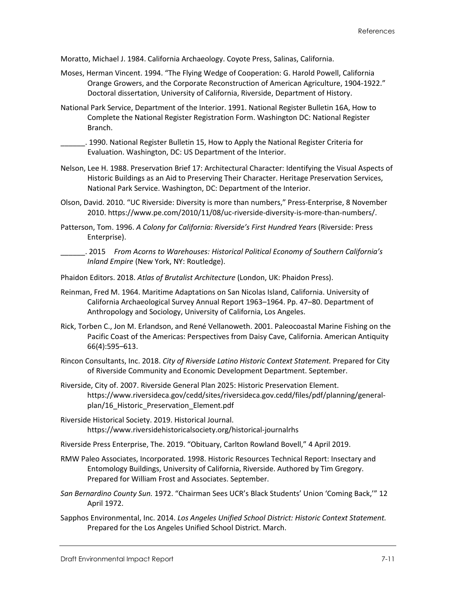Moratto, Michael J. 1984. California Archaeology. Coyote Press, Salinas, California.

- Moses, Herman Vincent. 1994. "The Flying Wedge of Cooperation: G. Harold Powell, California Orange Growers, and the Corporate Reconstruction of American Agriculture, 1904-1922." Doctoral dissertation, University of California, Riverside, Department of History.
- National Park Service, Department of the Interior. 1991. National Register Bulletin 16A, How to Complete the National Register Registration Form. Washington DC: National Register Branch.
- \_\_\_\_\_\_. 1990. National Register Bulletin 15, How to Apply the National Register Criteria for Evaluation. Washington, DC: US Department of the Interior.
- Nelson, Lee H. 1988. Preservation Brief 17: Architectural Character: Identifying the Visual Aspects of Historic Buildings as an Aid to Preserving Their Character. Heritage Preservation Services, National Park Service. Washington, DC: Department of the Interior.
- Olson, David. 2010. "UC Riverside: Diversity is more than numbers," Press-Enterprise, 8 November 2010. https://www.pe.com/2010/11/08/uc-riverside-diversity-is-more-than-numbers/.
- Patterson, Tom. 1996. *A Colony for California: Riverside's First Hundred Years* (Riverside: Press Enterprise).
	- \_\_\_\_\_\_. 2015 *From Acorns to Warehouses: Historical Political Economy of Southern California's Inland Empire* (New York, NY: Routledge).
- Phaidon Editors. 2018. *Atlas of Brutalist Architecture* (London, UK: Phaidon Press).
- Reinman, Fred M. 1964. Maritime Adaptations on San Nicolas Island, California. University of California Archaeological Survey Annual Report 1963–1964. Pp. 47–80. Department of Anthropology and Sociology, University of California, Los Angeles.
- Rick, Torben C., Jon M. Erlandson, and René Vellanoweth. 2001. Paleocoastal Marine Fishing on the Pacific Coast of the Americas: Perspectives from Daisy Cave, California. American Antiquity 66(4):595–613.
- Rincon Consultants, Inc. 2018. *City of Riverside Latino Historic Context Statement.* Prepared for City of Riverside Community and Economic Development Department. September.
- Riverside, City of. 2007. Riverside General Plan 2025: Historic Preservation Element. [https://www.riversideca.gov/cedd/sites/riversideca.gov.cedd/files/pdf/planning/general](https://www.riversideca.gov/cedd/sites/riversideca.gov.cedd/files/pdf/planning/general-plan/16_Historic_Preservation_Element.pdf)[plan/16\\_Historic\\_Preservation\\_Element.pdf](https://www.riversideca.gov/cedd/sites/riversideca.gov.cedd/files/pdf/planning/general-plan/16_Historic_Preservation_Element.pdf)
- Riverside Historical Society. 2019. Historical Journal. <https://www.riversidehistoricalsociety.org/historical-journalrhs>
- Riverside Press Enterprise, The. 2019. "Obituary, Carlton Rowland Bovell," 4 April 2019.
- RMW Paleo Associates, Incorporated. 1998. Historic Resources Technical Report: Insectary and Entomology Buildings, University of California, Riverside. Authored by Tim Gregory. Prepared for William Frost and Associates. September.
- *San Bernardino County Sun.* 1972. "Chairman Sees UCR's Black Students' Union 'Coming Back,'" 12 April 1972.
- Sapphos Environmental, Inc. 2014. *Los Angeles Unified School District: Historic Context Statement.*  Prepared for the Los Angeles Unified School District. March.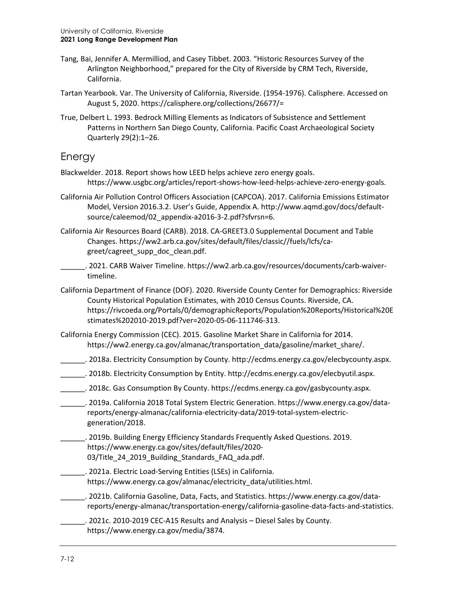- Tang, Bai, Jennifer A. Mermilliod, and Casey Tibbet. 2003. "Historic Resources Survey of the Arlington Neighborhood," prepared for the City of Riverside by CRM Tech, Riverside, California.
- Tartan Yearbook. Var. The University of California, Riverside. (1954-1976). Calisphere. Accessed on August 5, 2020.<https://calisphere.org/collections/26677/=>
- True, Delbert L. 1993. Bedrock Milling Elements as Indicators of Subsistence and Settlement Patterns in Northern San Diego County, California. Pacific Coast Archaeological Society Quarterly 29(2):1–26.

### Energy

- Blackwelder. 2018. Report shows how LEED helps achieve zero energy goals. https://www.usgbc.org/articles/report-shows-how-leed-helps-achieve-zero-energy-goals.
- California Air Pollution Control Officers Association (CAPCOA). 2017. California Emissions Estimator Model, Version 2016.3.2. User's Guide, Appendix A. http://www.aqmd.gov/docs/defaultsource/caleemod/02\_appendix-a2016-3-2.pdf?sfvrsn=6.
- California Air Resources Board (CARB). 2018. CA-GREET3.0 Supplemental Document and Table Changes. [https://ww2.arb.ca.gov/sites/default/files/classic//fuels/lcfs/ca](https://ww2.arb.ca.gov/sites/default/files/classic/fuels/lcfs/ca-greet/cagreet_supp_doc_clean.pdf)[greet/cagreet\\_supp\\_doc\\_clean.pdf.](https://ww2.arb.ca.gov/sites/default/files/classic/fuels/lcfs/ca-greet/cagreet_supp_doc_clean.pdf)
	- \_\_\_\_\_\_. 2021. CARB Waiver Timeline. [https://ww2.arb.ca.gov/resources/documents/carb-waiver](https://ww2.arb.ca.gov/resources/documents/carb-waiver-timeline)[timeline.](https://ww2.arb.ca.gov/resources/documents/carb-waiver-timeline)
- California Department of Finance (DOF). 2020. Riverside County Center for Demographics: Riverside County Historical Population Estimates, with 2010 Census Counts. Riverside, CA. [https://rivcoeda.org/Portals/0/demographicReports/Population%20Reports/Historical%20E](https://rivcoeda.org/Portals/0/demographicReports/Population%20Reports/Historical%20Estimates%202010-2019.pdf?ver=2020-05-06-111746-313) [stimates%202010-2019.pdf?ver=2020-05-06-111746-313.](https://rivcoeda.org/Portals/0/demographicReports/Population%20Reports/Historical%20Estimates%202010-2019.pdf?ver=2020-05-06-111746-313)
- California Energy Commission (CEC). 2015. Gasoline Market Share in California for 2014. [https://ww2.energy.ca.gov/almanac/transportation\\_data/gasoline/market\\_share/.](https://ww2.energy.ca.gov/almanac/transportation_data/gasoline/market_share/)
- \_\_\_\_\_\_\_. 2018a. Electricity Consumption by County[. http://ecdms.energy.ca.gov/elecbycounty.aspx.](http://ecdms.energy.ca.gov/elecbycounty.aspx)
- \_\_\_\_\_\_. 2018b. Electricity Consumption by Entity. [http://ecdms.energy.ca.gov/elecbyutil.aspx.](http://ecdms.energy.ca.gov/elecbyutil.aspx)
- \_\_\_\_\_\_. 2018c. Gas Consumption By County[. https://ecdms.energy.ca.gov/gasbycounty.aspx.](https://ecdms.energy.ca.gov/gasbycounty.aspx)
- \_\_\_\_\_\_. 2019a. California 2018 Total System Electric Generation. [https://www.energy.ca.gov/data](https://www.energy.ca.gov/data-reports/energy-almanac/california-electricity-data/2019-total-system-electric-generation/2018)[reports/energy-almanac/california-electricity-data/2019-total-system-electric](https://www.energy.ca.gov/data-reports/energy-almanac/california-electricity-data/2019-total-system-electric-generation/2018)[generation/2018.](https://www.energy.ca.gov/data-reports/energy-almanac/california-electricity-data/2019-total-system-electric-generation/2018)
- \_\_\_\_\_\_. 2019b. Building Energy Efficiency Standards Frequently Asked Questions. 2019. [https://www.energy.ca.gov/sites/default/files/2020-](https://www.energy.ca.gov/sites/default/files/2020-03/Title_24_2019_Building_Standards_FAQ_ada.pdf) [03/Title\\_24\\_2019\\_Building\\_Standards\\_FAQ\\_ada.pdf.](https://www.energy.ca.gov/sites/default/files/2020-03/Title_24_2019_Building_Standards_FAQ_ada.pdf)
- \_\_\_\_\_\_. 2021a. Electric Load-Serving Entities (LSEs) in California. [https://www.energy.ca.gov/almanac/electricity\\_data/utilities.html.](https://www.energy.ca.gov/almanac/electricity_data/utilities.html)
- \_\_\_\_\_\_. 2021b. California Gasoline, Data, Facts, and Statistics[. https://www.energy.ca.gov/data](https://www.energy.ca.gov/data-reports/energy-almanac/transportation-energy/california-gasoline-data-facts-and-statistics)[reports/energy-almanac/transportation-energy/california-gasoline-data-facts-and-statistics.](https://www.energy.ca.gov/data-reports/energy-almanac/transportation-energy/california-gasoline-data-facts-and-statistics)
- \_\_\_\_\_\_. 2021c. 2010-2019 CEC-A15 Results and Analysis Diesel Sales by County. [https://www.energy.ca.gov/media/3874.](https://www.energy.ca.gov/media/3874)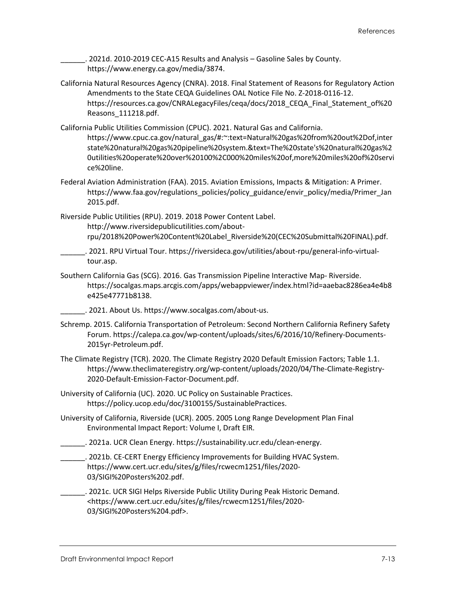. 2021d. 2010-2019 CEC-A15 Results and Analysis – Gasoline Sales by County. [https://www.energy.ca.gov/media/3874.](https://www.energy.ca.gov/media/3874)

- California Natural Resources Agency (CNRA). 2018. Final Statement of Reasons for Regulatory Action Amendments to the State CEQA Guidelines OAL Notice File No. Z-2018-0116-12. [https://resources.ca.gov/CNRALegacyFiles/ceqa/docs/2018\\_CEQA\\_Final\\_Statement\\_of%20](https://resources.ca.gov/CNRALegacyFiles/ceqa/docs/2018_CEQA_Final_Statement_of%20Reasons_111218.pdf) [Reasons\\_111218.pdf.](https://resources.ca.gov/CNRALegacyFiles/ceqa/docs/2018_CEQA_Final_Statement_of%20Reasons_111218.pdf)
- California Public Utilities Commission (CPUC). 2021. Natural Gas and California. [https://www.cpuc.ca.gov/natural\\_gas/#:~:text=Natural%20gas%20from%20out%2Dof,inter](https://www.cpuc.ca.gov/natural_gas/#:%7E:text=Natural%20gas%20from%20out%2Dof,interstate%20natural%20gas%20pipeline%20system.&text=The%20state) [state%20natural%20gas%20pipeline%20system.&text=The%20state's%20natural%20gas%2](https://www.cpuc.ca.gov/natural_gas/#:%7E:text=Natural%20gas%20from%20out%2Dof,interstate%20natural%20gas%20pipeline%20system.&text=The%20state) [0utilities%20operate%20over%20100%2C000%20miles%20of,more%20miles%20of%20servi](https://www.cpuc.ca.gov/natural_gas/#:%7E:text=Natural%20gas%20from%20out%2Dof,interstate%20natural%20gas%20pipeline%20system.&text=The%20state) [ce%20line.](https://www.cpuc.ca.gov/natural_gas/#:%7E:text=Natural%20gas%20from%20out%2Dof,interstate%20natural%20gas%20pipeline%20system.&text=The%20state)
- Federal Aviation Administration (FAA). 2015. Aviation Emissions, Impacts & Mitigation: A Primer. [https://www.faa.gov/regulations\\_policies/policy\\_guidance/envir\\_policy/media/Primer\\_Jan](https://www.faa.gov/regulations_policies/policy_guidance/envir_policy/media/Primer_Jan2015.pdf) [2015.pdf.](https://www.faa.gov/regulations_policies/policy_guidance/envir_policy/media/Primer_Jan2015.pdf)

Riverside Public Utilities (RPU). 2019. 2018 Power Content Label. [http://www.riversidepublicutilities.com/about](http://www.riversidepublicutilities.com/about-rpu/2018%20Power%20Content%20Label_Riverside%20(CEC%20Submittal%20FINAL).pdf)[rpu/2018%20Power%20Content%20Label\\_Riverside%20\(CEC%20Submittal%20FINAL\).pdf.](http://www.riversidepublicutilities.com/about-rpu/2018%20Power%20Content%20Label_Riverside%20(CEC%20Submittal%20FINAL).pdf)

- \_\_\_\_\_\_. 2021. RPU Virtual Tour[. https://riversideca.gov/utilities/about-rpu/general-info-virtual](https://riversideca.gov/utilities/about-rpu/general-info-virtual-tour.asp)[tour.asp.](https://riversideca.gov/utilities/about-rpu/general-info-virtual-tour.asp)
- Southern California Gas (SCG). 2016. Gas Transmission Pipeline Interactive Map- Riverside. [https://socalgas.maps.arcgis.com/apps/webappviewer/index.html?id=aaebac8286ea4e4b8](https://socalgas.maps.arcgis.com/apps/webappviewer/index.html?id=aaebac8286ea4e4b8e425e47771b8138) [e425e47771b8138.](https://socalgas.maps.arcgis.com/apps/webappviewer/index.html?id=aaebac8286ea4e4b8e425e47771b8138)
	- \_\_\_\_\_\_. 2021. About Us[. https://www.socalgas.com/about-us.](https://www.socalgas.com/about-us)
- Schremp. 2015. California Transportation of Petroleum: Second Northern California Refinery Safety Forum. [https://calepa.ca.gov/wp-content/uploads/sites/6/2016/10/Refinery-Documents-](https://calepa.ca.gov/wp-content/uploads/sites/6/2016/10/Refinery-Documents-2015yr-Petroleum.pdf)[2015yr-Petroleum.pdf.](https://calepa.ca.gov/wp-content/uploads/sites/6/2016/10/Refinery-Documents-2015yr-Petroleum.pdf)
- The Climate Registry (TCR). 2020. The Climate Registry 2020 Default Emission Factors; Table 1.1. [https://www.theclimateregistry.org/wp-content/uploads/2020/04/The-Climate-Registry-](https://www.theclimateregistry.org/wp-content/uploads/2020/04/The-Climate-Registry-2020-Default-Emission-Factor-Document.pdf)[2020-Default-Emission-Factor-Document.pdf.](https://www.theclimateregistry.org/wp-content/uploads/2020/04/The-Climate-Registry-2020-Default-Emission-Factor-Document.pdf)
- University of California (UC). 2020. UC Policy on Sustainable Practices. [https://policy.ucop.edu/doc/3100155/SustainablePractices.](https://policy.ucop.edu/doc/3100155/SustainablePractices)
- University of California, Riverside (UCR). 2005. 2005 Long Range Development Plan Final Environmental Impact Report: Volume I, Draft EIR.
- \_\_\_\_\_\_. 2021a. UCR Clean Energy. [https://sustainability.ucr.edu/clean-energy.](https://sustainability.ucr.edu/clean-energy)
- . 2021b. CE-CERT Energy Efficiency Improvements for Building HVAC System. [https://www.cert.ucr.edu/sites/g/files/rcwecm1251/files/2020-](https://www.cert.ucr.edu/sites/g/files/rcwecm1251/files/2020-03/SIGI%20Posters%202.pdf) [03/SIGI%20Posters%202.pdf.](https://www.cert.ucr.edu/sites/g/files/rcwecm1251/files/2020-03/SIGI%20Posters%202.pdf)
- \_\_\_\_\_\_. 2021c. UCR SIGI Helps Riverside Public Utility During Peak Historic Demand. [<https://www.cert.ucr.edu/sites/g/files/rcwecm1251/files/2020-](https://www.cert.ucr.edu/sites/g/files/rcwecm1251/files/2020-03/SIGI%20Posters%204.pdf) [03/SIGI%20Posters%204.pdf>](https://www.cert.ucr.edu/sites/g/files/rcwecm1251/files/2020-03/SIGI%20Posters%204.pdf).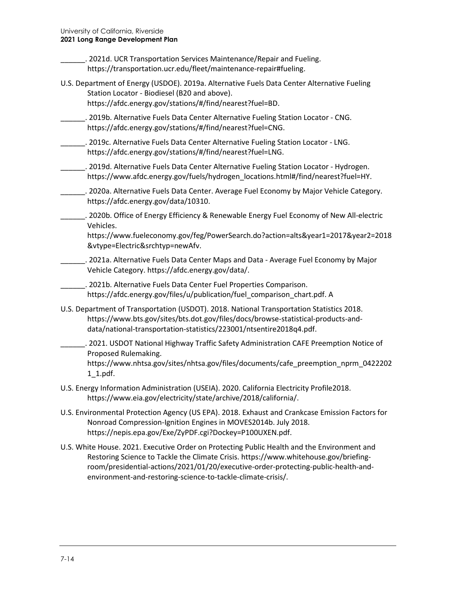| . 2021d. UCR Transportation Services Maintenance/Repair and Fueling.<br>https://transportation.ucr.edu/fleet/maintenance-repair#fueling.                                                                                                              |
|-------------------------------------------------------------------------------------------------------------------------------------------------------------------------------------------------------------------------------------------------------|
| U.S. Department of Energy (USDOE). 2019a. Alternative Fuels Data Center Alternative Fueling<br>Station Locator - Biodiesel (B20 and above).<br>https://afdc.energy.gov/stations/#/find/nearest?fuel=BD.                                               |
| . 2019b. Alternative Fuels Data Center Alternative Fueling Station Locator - CNG.<br>https://afdc.energy.gov/stations/#/find/nearest?fuel=CNG.                                                                                                        |
| . 2019c. Alternative Fuels Data Center Alternative Fueling Station Locator - LNG.<br>https://afdc.energy.gov/stations/#/find/nearest?fuel=LNG.                                                                                                        |
| . 2019d. Alternative Fuels Data Center Alternative Fueling Station Locator - Hydrogen.<br>https://www.afdc.energy.gov/fuels/hydrogen_locations.html#/find/nearest?fuel=HY.                                                                            |
| __. 2020a. Alternative Fuels Data Center. Average Fuel Economy by Major Vehicle Category.<br>https://afdc.energy.gov/data/10310.                                                                                                                      |
| . 2020b. Office of Energy Efficiency & Renewable Energy Fuel Economy of New All-electric<br>Vehicles.<br>https://www.fueleconomy.gov/feg/PowerSearch.do?action=alts&year1=2017&year2=2018<br>&vtype=Electric&srchtyp=newAfv.                          |
| . 2021a. Alternative Fuels Data Center Maps and Data - Average Fuel Economy by Major<br>Vehicle Category. https://afdc.energy.gov/data/.                                                                                                              |
| . 2021b. Alternative Fuels Data Center Fuel Properties Comparison.<br>https://afdc.energy.gov/files/u/publication/fuel_comparison_chart.pdf. A                                                                                                        |
| U.S. Department of Transportation (USDOT). 2018. National Transportation Statistics 2018.<br>https://www.bts.gov/sites/bts.dot.gov/files/docs/browse-statistical-products-and-<br>data/national-transportation-statistics/223001/ntsentire2018q4.pdf. |
| . 2021. USDOT National Highway Traffic Safety Administration CAFE Preemption Notice of<br>Proposed Rulemaking.<br>https://www.nhtsa.gov/sites/nhtsa.gov/files/documents/cafe_preemption_nprm_0422202<br>$1_1$ .pdf.                                   |
| U.S. Energy Information Administration (USEIA). 2020. California Electricity Profile2018.<br>https://www.eia.gov/electricity/state/archive/2018/california/.                                                                                          |
| U.S. Environmental Protection Agency (US EPA). 2018. Exhaust and Crankcase Emission Factors for<br>Nonroad Compression-Ignition Engines in MOVES2014b. July 2018.<br>https://nepis.epa.gov/Exe/ZyPDF.cgi?Dockey=P100UXEN.pdf.                         |

U.S. White House. 2021. Executive Order on Protecting Public Health and the Environment and Restoring Science to Tackle the Climate Crisis. [https://www.whitehouse.gov/briefing](https://www.whitehouse.gov/briefing-room/presidential-actions/2021/01/20/executive-order-protecting-public-health-and-environment-and-restoring-science-to-tackle-climate-crisis/)[room/presidential-actions/2021/01/20/executive-order-protecting-public-health-and](https://www.whitehouse.gov/briefing-room/presidential-actions/2021/01/20/executive-order-protecting-public-health-and-environment-and-restoring-science-to-tackle-climate-crisis/)[environment-and-restoring-science-to-tackle-climate-crisis/.](https://www.whitehouse.gov/briefing-room/presidential-actions/2021/01/20/executive-order-protecting-public-health-and-environment-and-restoring-science-to-tackle-climate-crisis/)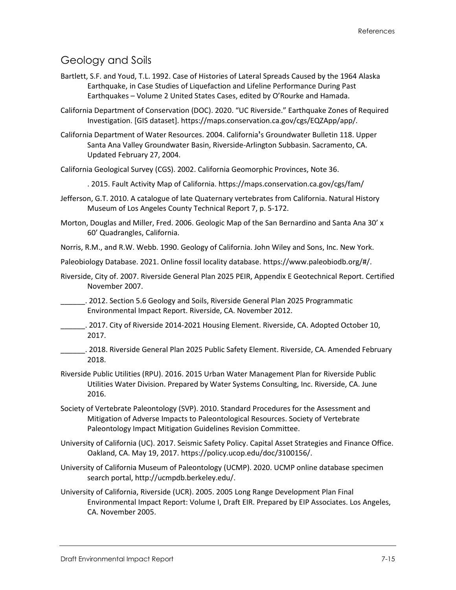### Geology and Soils

- Bartlett, S.F. and Youd, T.L. 1992. Case of Histories of Lateral Spreads Caused by the 1964 Alaska Earthquake, in Case Studies of Liquefaction and Lifeline Performance During Past Earthquakes – Volume 2 United States Cases, edited by O'Rourke and Hamada.
- California Department of Conservation (DOC). 2020. "UC Riverside." Earthquake Zones of Required Investigation. [GIS dataset]. [https://maps.conservation.ca.gov/cgs/EQZApp/app/.](https://maps.conservation.ca.gov/cgs/EQZApp/app/)
- California Department of Water Resources. 2004. California**'**s Groundwater Bulletin 118. Upper Santa Ana Valley Groundwater Basin, Riverside-Arlington Subbasin. Sacramento, CA. Updated February 27, 2004.
- California Geological Survey (CGS). 2002. California Geomorphic Provinces, Note 36.

. 2015. Fault Activity Map of California. https://maps.conservation.ca.gov/cgs/fam/

- Jefferson, G.T. 2010. A catalogue of late Quaternary vertebrates from California. Natural History Museum of Los Angeles County Technical Report 7, p. 5-172.
- Morton, Douglas and Miller, Fred. 2006. Geologic Map of the San Bernardino and Santa Ana 30' x 60' Quadrangles, California.
- Norris, R.M., and R.W. Webb. 1990. Geology of California. John Wiley and Sons, Inc. New York.

Paleobiology Database. 2021. Online fossil locality database. https://www.paleobiodb.org/#/.

- Riverside, City of. 2007. Riverside General Plan 2025 PEIR, Appendix E Geotechnical Report. Certified November 2007.
- \_\_\_\_\_\_. 2012. Section 5.6 Geology and Soils, Riverside General Plan 2025 Programmatic Environmental Impact Report. Riverside, CA. November 2012.
- \_\_\_\_\_\_. 2017. City of Riverside 2014-2021 Housing Element. Riverside, CA. Adopted October 10, 2017.
- \_\_\_\_\_\_. 2018. Riverside General Plan 2025 Public Safety Element. Riverside, CA. Amended February 2018.
- Riverside Public Utilities (RPU). 2016. 2015 Urban Water Management Plan for Riverside Public Utilities Water Division. Prepared by Water Systems Consulting, Inc. Riverside, CA. June 2016.
- Society of Vertebrate Paleontology (SVP). 2010. Standard Procedures for the Assessment and Mitigation of Adverse Impacts to Paleontological Resources. Society of Vertebrate Paleontology Impact Mitigation Guidelines Revision Committee.
- University of California (UC). 2017. Seismic Safety Policy. Capital Asset Strategies and Finance Office. Oakland, CA. May 19, 2017. https://policy.ucop.edu/doc/3100156/.
- University of California Museum of Paleontology (UCMP). 2020. UCMP online database specimen search portal, [http://ucmpdb.berkeley.edu/.](http://ucmpdb.berkeley.edu/)
- University of California, Riverside (UCR). 2005. 2005 Long Range Development Plan Final Environmental Impact Report: Volume I, Draft EIR. Prepared by EIP Associates. Los Angeles, CA. November 2005.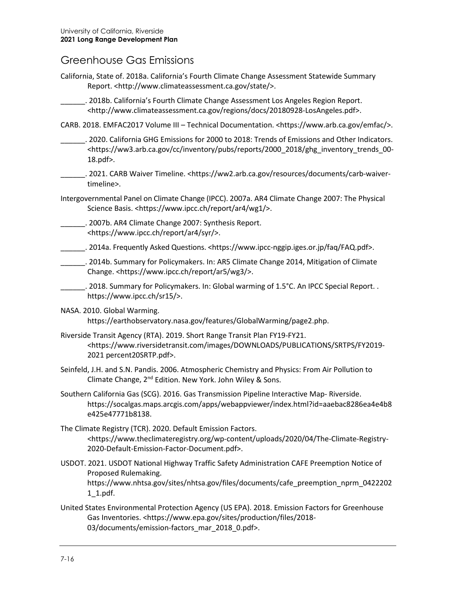#### Greenhouse Gas Emissions

- California, State of. 2018a. California's Fourth Climate Change Assessment Statewide Summary Report. <http://www.climateassessment.ca.gov/state/>.
	- \_\_\_\_\_\_. 2018b. California's Fourth Climate Change Assessment Los Angeles Region Report. <http://www.climateassessment.ca.gov/regions/docs/20180928-LosAngeles.pdf>.
- CARB. 2018. EMFAC2017 Volume III Technical Documentation. <https://www.arb.ca.gov/emfac/>.
	- \_\_\_\_\_\_. 2020. California GHG Emissions for 2000 to 2018: Trends of Emissions and Other Indicators. <https://ww3.arb.ca.gov/cc/inventory/pubs/reports/2000\_2018/ghg\_inventory\_trends\_00- 18.pdf>.
- \_\_\_\_\_\_. 2021. CARB Waiver Timeline. [<https://ww2.arb.ca.gov/resources/documents/carb-waiver](https://ww2.arb.ca.gov/resources/documents/carb-waiver-timeline)[timeline>](https://ww2.arb.ca.gov/resources/documents/carb-waiver-timeline).
- Intergovernmental Panel on Climate Change (IPCC). 2007a. AR4 Climate Change 2007: The Physical Science Basis. <https://www.ipcc.ch/report/ar4/wg1/>.
- \_\_\_\_\_\_. 2007b. AR4 Climate Change 2007: Synthesis Report. <https://www.ipcc.ch/report/ar4/syr/>.
- \_\_\_\_\_\_. 2014a. Frequently Asked Questions. <https://www.ipcc-nggip.iges.or.jp/faq/FAQ.pdf>.
- \_\_\_\_\_\_. 2014b. Summary for Policymakers. In: AR5 Climate Change 2014, Mitigation of Climate Change. <https://www.ipcc.ch/report/ar5/wg3/>.
- \_\_\_\_\_\_\_. 2018. Summary for Policymakers. In: Global warming of 1.5°C. An IPCC Special Report. . https://www.ipcc.ch/sr15/>.
- NASA. 2010. Global Warming.

https://earthobservatory.nasa.gov/features/GlobalWarming/page2.php.

- Riverside Transit Agency (RTA). 2019. Short Range Transit Plan FY19-FY21. <https://www.riversidetransit.com/images/DOWNLOADS/PUBLICATIONS/SRTPS/FY2019- 2021 percent20SRTP.pdf>.
- Seinfeld, J.H. and S.N. Pandis. 2006. Atmospheric Chemistry and Physics: From Air Pollution to Climate Change, 2nd Edition. New York. John Wiley & Sons.
- Southern California Gas (SCG). 2016. Gas Transmission Pipeline Interactive Map- Riverside. [https://socalgas.maps.arcgis.com/apps/webappviewer/index.html?id=aaebac8286ea4e4b8](https://socalgas.maps.arcgis.com/apps/webappviewer/index.html?id=aaebac8286ea4e4b8e425e47771b8138) [e425e47771b8138.](https://socalgas.maps.arcgis.com/apps/webappviewer/index.html?id=aaebac8286ea4e4b8e425e47771b8138)
- The Climate Registry (TCR). 2020. Default Emission Factors. <https://www.theclimateregistry.org/wp-content/uploads/2020/04/The-Climate-Registry-2020-Default-Emission-Factor-Document.pdf>.
- USDOT. 2021. USDOT National Highway Traffic Safety Administration CAFE Preemption Notice of Proposed Rulemaking. [https://www.nhtsa.gov/sites/nhtsa.gov/files/documents/cafe\\_preemption\\_nprm\\_0422202](https://www.nhtsa.gov/sites/nhtsa.gov/files/documents/cafe_preemption_nprm_04222021_1.pdf) [1\\_1.pdf.](https://www.nhtsa.gov/sites/nhtsa.gov/files/documents/cafe_preemption_nprm_04222021_1.pdf)
- United States Environmental Protection Agency (US EPA). 2018. Emission Factors for Greenhouse Gas Inventories. <https://www.epa.gov/sites/production/files/2018- 03/documents/emission-factors\_mar\_2018\_0.pdf>.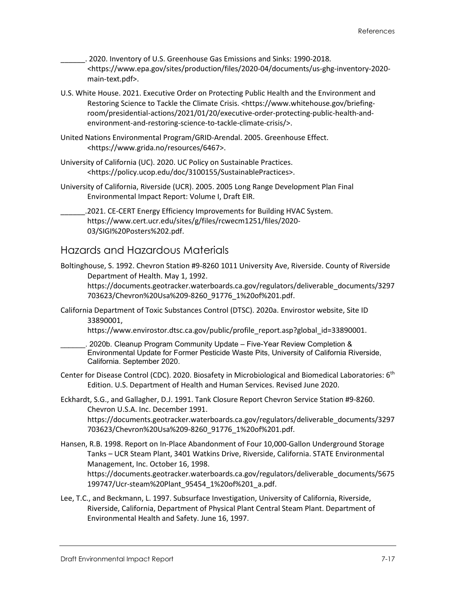\_\_\_\_\_\_. 2020. Inventory of U.S. Greenhouse Gas Emissions and Sinks: 1990-2018. <https://www.epa.gov/sites/production/files/2020-04/documents/us-ghg-inventory-2020 main-text.pdf>.

- U.S. White House. 2021. Executive Order on Protecting Public Health and the Environment and Restoring Science to Tackle the Climate Crisis. [<https://www.whitehouse.gov/briefing](https://www.whitehouse.gov/briefing-room/presidential-actions/2021/01/20/executive-order-protecting-public-health-and-environment-and-restoring-science-to-tackle-climate-crisis/)[room/presidential-actions/2021/01/20/executive-order-protecting-public-health-and](https://www.whitehouse.gov/briefing-room/presidential-actions/2021/01/20/executive-order-protecting-public-health-and-environment-and-restoring-science-to-tackle-climate-crisis/)[environment-and-restoring-science-to-tackle-climate-crisis/>](https://www.whitehouse.gov/briefing-room/presidential-actions/2021/01/20/executive-order-protecting-public-health-and-environment-and-restoring-science-to-tackle-climate-crisis/).
- United Nations Environmental Program/GRID-Arendal. 2005. Greenhouse Effect. <https://www.grida.no/resources/6467>.
- University of California (UC). 2020. UC Policy on Sustainable Practices. <https://policy.ucop.edu/doc/3100155/SustainablePractices>.
- University of California, Riverside (UCR). 2005. 2005 Long Range Development Plan Final Environmental Impact Report: Volume I, Draft EIR.

.2021. CE-CERT Energy Efficiency Improvements for Building HVAC System. [https://www.cert.ucr.edu/sites/g/files/rcwecm1251/files/2020-](https://www.cert.ucr.edu/sites/g/files/rcwecm1251/files/2020-03/SIGI%20Posters%202.pdf) [03/SIGI%20Posters%202.pdf.](https://www.cert.ucr.edu/sites/g/files/rcwecm1251/files/2020-03/SIGI%20Posters%202.pdf)

#### Hazards and Hazardous Materials

- Boltinghouse, S. 1992. Chevron Station #9-8260 1011 University Ave, Riverside. County of Riverside Department of Health. May 1, 1992. [https://documents.geotracker.waterboards.ca.gov/regulators/deliverable\\_documents/3297](https://documents.geotracker.waterboards.ca.gov/regulators/deliverable_documents/3297703623/Chevron%20Usa%209-8260_91776_1%20of%201.pdf) [703623/Chevron%20Usa%209-8260\\_91776\\_1%20of%201.pdf.](https://documents.geotracker.waterboards.ca.gov/regulators/deliverable_documents/3297703623/Chevron%20Usa%209-8260_91776_1%20of%201.pdf)
- California Department of Toxic Substances Control (DTSC). 2020a. Envirostor website, Site ID 33890001,

[https://www.envirostor.dtsc.ca.gov/public/profile\\_report.asp?global\\_id=33890001.](https://www.envirostor.dtsc.ca.gov/public/profile_report.asp?global_id=33890001)

- . 2020b. Cleanup Program Community Update Five-Year Review Completion & Environmental Update for Former Pesticide Waste Pits, University of California Riverside, California. September 2020.
- Center for Disease Control (CDC). 2020. Biosafety in Microbiological and Biomedical Laboratories: 6<sup>th</sup> Edition. U.S. Department of Health and Human Services. Revised June 2020.
- Eckhardt, S.G., and Gallagher, D.J. 1991. Tank Closure Report Chevron Service Station #9-8260. Chevron U.S.A. Inc. December 1991. [https://documents.geotracker.waterboards.ca.gov/regulators/deliverable\\_documents/3297](https://documents.geotracker.waterboards.ca.gov/regulators/deliverable_documents/3297703623/Chevron%20Usa%209-8260_91776_1%20of%201.pdf) [703623/Chevron%20Usa%209-8260\\_91776\\_1%20of%201.pdf.](https://documents.geotracker.waterboards.ca.gov/regulators/deliverable_documents/3297703623/Chevron%20Usa%209-8260_91776_1%20of%201.pdf)
- Hansen, R.B. 1998. Report on In-Place Abandonment of Four 10,000-Gallon Underground Storage Tanks – UCR Steam Plant, 3401 Watkins Drive, Riverside, California. STATE Environmental Management, Inc. October 16, 1998. [https://documents.geotracker.waterboards.ca.gov/regulators/deliverable\\_documents/5675](https://documents.geotracker.waterboards.ca.gov/regulators/deliverable_documents/5675199747/Ucr-steam%20Plant_95454_1%20of%201_a.pdf) [199747/Ucr-steam%20Plant\\_95454\\_1%20of%201\\_a.pdf.](https://documents.geotracker.waterboards.ca.gov/regulators/deliverable_documents/5675199747/Ucr-steam%20Plant_95454_1%20of%201_a.pdf)
- Lee, T.C., and Beckmann, L. 1997. Subsurface Investigation, University of California, Riverside, Riverside, California, Department of Physical Plant Central Steam Plant. Department of Environmental Health and Safety. June 16, 1997.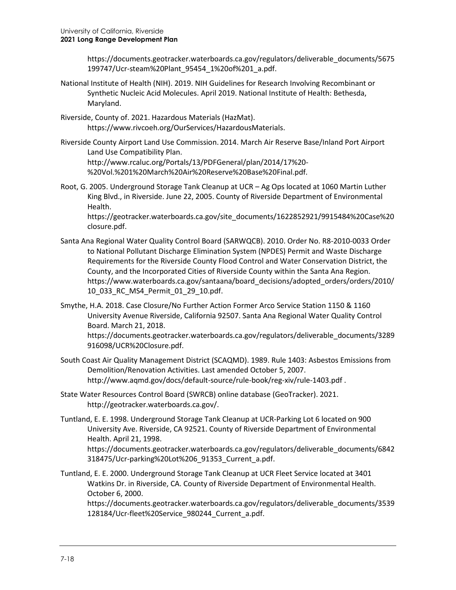[https://documents.geotracker.waterboards.ca.gov/regulators/deliverable\\_documents/5675](https://documents.geotracker.waterboards.ca.gov/regulators/deliverable_documents/5675199747/Ucr-steam%20Plant_95454_1%20of%201_a.pdf) [199747/Ucr-steam%20Plant\\_95454\\_1%20of%201\\_a.pdf.](https://documents.geotracker.waterboards.ca.gov/regulators/deliverable_documents/5675199747/Ucr-steam%20Plant_95454_1%20of%201_a.pdf)

- National Institute of Health (NIH). 2019. NIH Guidelines for Research Involving Recombinant or Synthetic Nucleic Acid Molecules. April 2019. National Institute of Health: Bethesda, Maryland.
- Riverside, County of. 2021. Hazardous Materials (HazMat). [https://www.rivcoeh.org/OurServices/HazardousMaterials.](https://www.rivcoeh.org/OurServices/HazardousMaterials)
- Riverside County Airport Land Use Commission. 2014. March Air Reserve Base/Inland Port Airport Land Use Compatibility Plan. [http://www.rcaluc.org/Portals/13/PDFGeneral/plan/2014/17%20-](http://www.rcaluc.org/Portals/13/PDFGeneral/plan/2014/17%20-%20Vol.%201%20March%20Air%20Reserve%20Base%20Final.pdf) [%20Vol.%201%20March%20Air%20Reserve%20Base%20Final.pdf.](http://www.rcaluc.org/Portals/13/PDFGeneral/plan/2014/17%20-%20Vol.%201%20March%20Air%20Reserve%20Base%20Final.pdf)
- Root, G. 2005. Underground Storage Tank Cleanup at UCR Ag Ops located at 1060 Martin Luther King Blvd., in Riverside. June 22, 2005. County of Riverside Department of Environmental Health.

[https://geotracker.waterboards.ca.gov/site\\_documents/1622852921/9915484%20Case%20](https://geotracker.waterboards.ca.gov/site_documents/1622852921/9915484%20Case%20closure.pdf) [closure.pdf.](https://geotracker.waterboards.ca.gov/site_documents/1622852921/9915484%20Case%20closure.pdf)

- Santa Ana Regional Water Quality Control Board (SARWQCB). 2010. Order No. R8-2010-0033 Order to National Pollutant Discharge Elimination System (NPDES) Permit and Waste Discharge Requirements for the Riverside County Flood Control and Water Conservation District, the County, and the Incorporated Cities of Riverside County within the Santa Ana Region. [https://www.waterboards.ca.gov/santaana/board\\_decisions/adopted\\_orders/orders/2010/](https://www.waterboards.ca.gov/santaana/board_decisions/adopted_orders/orders/2010/10_033_RC_MS4_Permit_01_29_10.pdf) [10\\_033\\_RC\\_MS4\\_Permit\\_01\\_29\\_10.pdf.](https://www.waterboards.ca.gov/santaana/board_decisions/adopted_orders/orders/2010/10_033_RC_MS4_Permit_01_29_10.pdf)
- Smythe, H.A. 2018. Case Closure/No Further Action Former Arco Service Station 1150 & 1160 University Avenue Riverside, California 92507. Santa Ana Regional Water Quality Control Board. March 21, 2018.

[https://documents.geotracker.waterboards.ca.gov/regulators/deliverable\\_documents/3289](https://documents.geotracker.waterboards.ca.gov/regulators/deliverable_documents/3289916098/UCR%20Closure.pdf) [916098/UCR%20Closure.pdf.](https://documents.geotracker.waterboards.ca.gov/regulators/deliverable_documents/3289916098/UCR%20Closure.pdf)

- South Coast Air Quality Management District (SCAQMD). 1989. Rule 1403: Asbestos Emissions from Demolition/Renovation Activities. Last amended October 5, 2007. <http://www.aqmd.gov/docs/default-source/rule-book/reg-xiv/rule-1403.pdf> .
- State Water Resources Control Board (SWRCB) online database (GeoTracker). 2021. [http://geotracker.waterboards.ca.gov/.](http://geotracker.waterboards.ca.gov/)
- Tuntland, E. E. 1998. Underground Storage Tank Cleanup at UCR-Parking Lot 6 located on 900 University Ave. Riverside, CA 92521. County of Riverside Department of Environmental Health. April 21, 1998. [https://documents.geotracker.waterboards.ca.gov/regulators/deliverable\\_documents/6842](https://documents.geotracker.waterboards.ca.gov/regulators/deliverable_documents/6842318475/Ucr-parking%20Lot%206_91353_Current_a.pdf) [318475/Ucr-parking%20Lot%206\\_91353\\_Current\\_a.pdf.](https://documents.geotracker.waterboards.ca.gov/regulators/deliverable_documents/6842318475/Ucr-parking%20Lot%206_91353_Current_a.pdf)
- Tuntland, E. E. 2000. Underground Storage Tank Cleanup at UCR Fleet Service located at 3401 Watkins Dr. in Riverside, CA. County of Riverside Department of Environmental Health. October 6, 2000.

[https://documents.geotracker.waterboards.ca.gov/regulators/deliverable\\_documents/3539](https://documents.geotracker.waterboards.ca.gov/regulators/deliverable_documents/3539128184/Ucr-fleet%20Service_980244_Current_a.pdf) [128184/Ucr-fleet%20Service\\_980244\\_Current\\_a.pdf.](https://documents.geotracker.waterboards.ca.gov/regulators/deliverable_documents/3539128184/Ucr-fleet%20Service_980244_Current_a.pdf)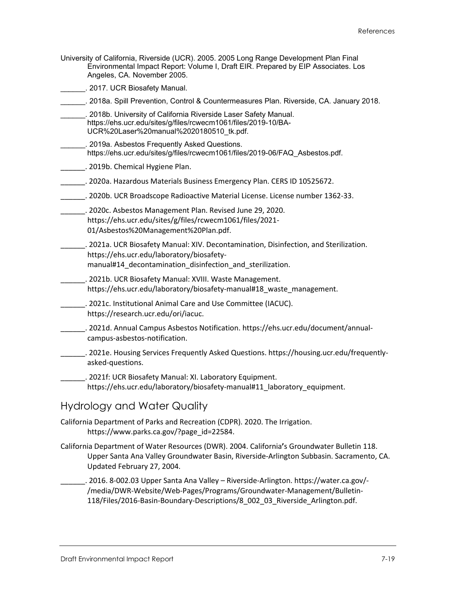University of California, Riverside (UCR). 2005. 2005 Long Range Development Plan Final Environmental Impact Report: Volume I, Draft EIR. Prepared by EIP Associates. Los Angeles, CA. November 2005.

\_\_\_\_\_\_. 2017. UCR Biosafety Manual.

- \_\_\_\_\_\_. 2018a. Spill Prevention, Control & Countermeasures Plan. Riverside, CA. January 2018.
- \_\_\_\_\_\_. 2018b. University of California Riverside Laser Safety Manual. [https://ehs.ucr.edu/sites/g/files/rcwecm1061/files/2019-10/BA-](https://ehs.ucr.edu/sites/g/files/rcwecm1061/files/2019-10/BA-UCR%20Laser%20manual%2020180510_tk.pdf)[UCR%20Laser%20manual%2020180510\\_tk.pdf.](https://ehs.ucr.edu/sites/g/files/rcwecm1061/files/2019-10/BA-UCR%20Laser%20manual%2020180510_tk.pdf)
- \_\_\_\_\_\_. 2019a. Asbestos Frequently Asked Questions. [https://ehs.ucr.edu/sites/g/files/rcwecm1061/files/2019-06/FAQ\\_Asbestos.pdf.](https://ehs.ucr.edu/sites/g/files/rcwecm1061/files/2019-06/FAQ_Asbestos.pdf)
- \_\_\_\_\_\_\_\_. 2019b. Chemical Hygiene Plan.
- \_\_\_\_\_\_. 2020a. Hazardous Materials Business Emergency Plan. CERS ID 10525672.
- \_\_\_\_\_\_. 2020b. UCR Broadscope Radioactive Material License. License number 1362-33.
- \_\_\_\_\_\_. 2020c. Asbestos Management Plan. Revised June 29, 2020. [https://ehs.ucr.edu/sites/g/files/rcwecm1061/files/2021-](https://ehs.ucr.edu/sites/g/files/rcwecm1061/files/2021-01/Asbestos%20Management%20Plan.pdf) [01/Asbestos%20Management%20Plan.pdf.](https://ehs.ucr.edu/sites/g/files/rcwecm1061/files/2021-01/Asbestos%20Management%20Plan.pdf)
- \_\_\_\_\_\_. 2021a. UCR Biosafety Manual: XIV. Decontamination, Disinfection, and Sterilization. [https://ehs.ucr.edu/laboratory/biosafety](https://ehs.ucr.edu/laboratory/biosafety-manual#14_decontamination_disinfection_and_sterilization)manual#14 decontamination disinfection and sterilization.
- \_\_\_\_\_\_. 2021b. UCR Biosafety Manual: XVIII. Waste Management. [https://ehs.ucr.edu/laboratory/biosafety-manual#18\\_waste\\_management.](https://ehs.ucr.edu/laboratory/biosafety-manual#18_waste_management)
- \_\_\_\_\_\_. 2021c. Institutional Animal Care and Use Committee (IACUC). [https://research.ucr.edu/ori/iacuc.](https://research.ucr.edu/ori/iacuc)
- \_\_\_\_\_\_. 2021d. Annual Campus Asbestos Notification[. https://ehs.ucr.edu/document/annual](https://ehs.ucr.edu/document/annual-campus-asbestos-notification)[campus-asbestos-notification.](https://ehs.ucr.edu/document/annual-campus-asbestos-notification)
- \_\_\_\_\_\_. 2021e. Housing Services Frequently Asked Questions[. https://housing.ucr.edu/frequently](https://housing.ucr.edu/frequently-asked-questions)[asked-questions.](https://housing.ucr.edu/frequently-asked-questions)
- \_\_\_\_\_\_. 2021f: UCR Biosafety Manual: XI. Laboratory Equipment. [https://ehs.ucr.edu/laboratory/biosafety-manual#11\\_laboratory\\_equipment.](https://ehs.ucr.edu/laboratory/biosafety-manual#11_laboratory_equipment)

#### Hydrology and Water Quality

- California Department of Parks and Recreation (CDPR). 2020. The Irrigation. https://www.parks.ca.gov/?page\_id=22584.
- California Department of Water Resources (DWR). 2004. California**'**s Groundwater Bulletin 118. Upper Santa Ana Valley Groundwater Basin, Riverside-Arlington Subbasin. Sacramento, CA. Updated February 27, 2004.

\_\_\_\_\_\_. 2016. 8-002.03 Upper Santa Ana Valley – Riverside-Arlington. https://water.ca.gov/- /media/DWR-Website/Web-Pages/Programs/Groundwater-Management/Bulletin-118/Files/2016-Basin-Boundary-Descriptions/8\_002\_03\_Riverside\_Arlington.pdf.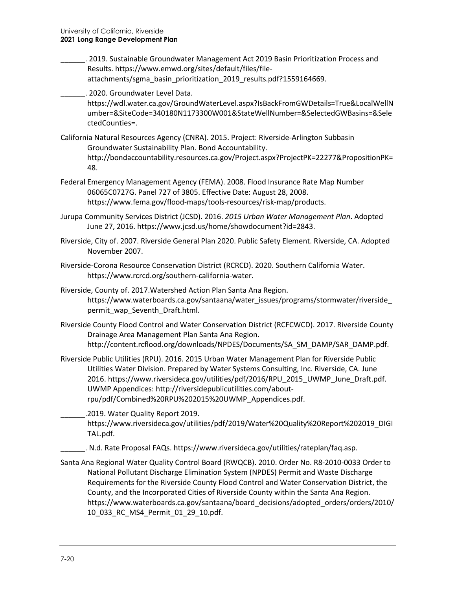- \_\_\_\_\_\_. 2019. Sustainable Groundwater Management Act 2019 Basin Prioritization Process and Results[. https://www.emwd.org/sites/default/files/file](https://www.emwd.org/sites/default/files/file-attachments/sgma_basin_prioritization_2019_results.pdf?1559164669)[attachments/sgma\\_basin\\_prioritization\\_2019\\_results.pdf?1559164669.](https://www.emwd.org/sites/default/files/file-attachments/sgma_basin_prioritization_2019_results.pdf?1559164669)
- \_\_\_\_\_\_. 2020. Groundwater Level Data.

https://wdl.water.ca.gov/GroundWaterLevel.aspx?IsBackFromGWDetails=True&LocalWellN umber=&SiteCode=340180N1173300W001&StateWellNumber=&SelectedGWBasins=&Sele ctedCounties=.

- California Natural Resources Agency (CNRA). 2015. Project: Riverside-Arlington Subbasin Groundwater Sustainability Plan. Bond Accountability. http://bondaccountability.resources.ca.gov/Project.aspx?ProjectPK=22277&PropositionPK= 48.
- Federal Emergency Management Agency (FEMA). 2008. Flood Insurance Rate Map Number 06065C0727G. Panel 727 of 3805. Effective Date: August 28, 2008. [https://www.fema.gov/flood-maps/tools-resources/risk-map/products.](https://www.fema.gov/flood-maps/tools-resources/risk-map/products)
- Jurupa Community Services District (JCSD). 2016. *2015 Urban Water Management Plan*. Adopted June 27, 2016. [https://www.jcsd.us/home/showdocument?id=2843.](https://www.jcsd.us/home/showdocument?id=2843)
- Riverside, City of. 2007. Riverside General Plan 2020. Public Safety Element. Riverside, CA. Adopted November 2007.
- Riverside-Corona Resource Conservation District (RCRCD). 2020. Southern California Water. https://www.rcrcd.org/southern-california-water.
- Riverside, County of. 2017.Watershed Action Plan Santa Ana Region. [https://www.waterboards.ca.gov/santaana/water\\_issues/programs/stormwater/riverside\\_](https://www.waterboards.ca.gov/santaana/water_issues/programs/stormwater/riverside_permit_wap_Seventh_Draft.html) [permit\\_wap\\_Seventh\\_Draft.html.](https://www.waterboards.ca.gov/santaana/water_issues/programs/stormwater/riverside_permit_wap_Seventh_Draft.html)
- Riverside County Flood Control and Water Conservation District (RCFCWCD). 2017. Riverside County Drainage Area Management Plan Santa Ana Region. http://content.rcflood.org/downloads/NPDES/Documents/SA\_SM\_DAMP/SAR\_DAMP.pdf.
- Riverside Public Utilities (RPU). 2016. 2015 Urban Water Management Plan for Riverside Public Utilities Water Division. Prepared by Water Systems Consulting, Inc. Riverside, CA. June 2016. [https://www.riversideca.gov/utilities/pdf/2016/RPU\\_2015\\_UWMP\\_June\\_Draft.pdf.](https://www.riversideca.gov/utilities/pdf/2016/RPU_2015_UWMP_June_Draft.pdf) UWMP Appendices: [http://riversidepublicutilities.com/about](http://riversidepublicutilities.com/about-rpu/pdf/Combined%20RPU%202015%20UWMP_Appendices.pdf)[rpu/pdf/Combined%20RPU%202015%20UWMP\\_Appendices.pdf.](http://riversidepublicutilities.com/about-rpu/pdf/Combined%20RPU%202015%20UWMP_Appendices.pdf)
	- \_\_\_\_\_\_.2019. Water Quality Report 2019. https://www.riversideca.gov/utilities/pdf/2019/Water%20Quality%20Report%202019\_DIGI TAL.pdf.
		- \_\_\_\_\_\_. N.d. Rate Proposal FAQs. [https://www.riversideca.gov/utilities/rateplan/faq.asp.](https://www.riversideca.gov/utilities/rateplan/faq.asp)
- Santa Ana Regional Water Quality Control Board (RWQCB). 2010. Order No. R8-2010-0033 Order to National Pollutant Discharge Elimination System (NPDES) Permit and Waste Discharge Requirements for the Riverside County Flood Control and Water Conservation District, the County, and the Incorporated Cities of Riverside County within the Santa Ana Region. https://www.waterboards.ca.gov/santaana/board\_decisions/adopted\_orders/orders/2010/ 10\_033\_RC\_MS4\_Permit\_01\_29\_10.pdf.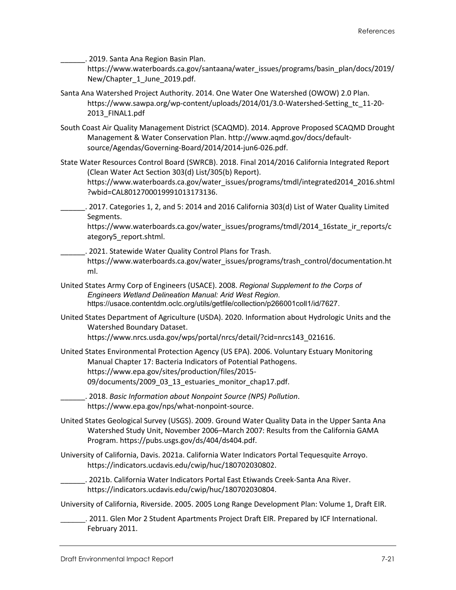\_\_\_\_\_\_. 2019. Santa Ana Region Basin Plan.

https://www.waterboards.ca.gov/santaana/water\_issues/programs/basin\_plan/docs/2019/ New/Chapter 1 June 2019.pdf.

- Santa Ana Watershed Project Authority. 2014. One Water One Watershed (OWOW) 2.0 Plan. https://www.sawpa.org/wp-content/uploads/2014/01/3.0-Watershed-Setting\_tc\_11-20- 2013\_FINAL1.pdf
- South Coast Air Quality Management District (SCAQMD). 2014. Approve Proposed SCAQMD Drought Management & Water Conservation Plan[. http://www.aqmd.gov/docs/default](http://www.aqmd.gov/docs/default-source/Agendas/Governing-Board/2014/2014-jun6-026.pdf)[source/Agendas/Governing-Board/2014/2014-jun6-026.pdf.](http://www.aqmd.gov/docs/default-source/Agendas/Governing-Board/2014/2014-jun6-026.pdf)
- State Water Resources Control Board (SWRCB). 2018. Final 2014/2016 California Integrated Report (Clean Water Act Section 303(d) List/305(b) Report). https://www.waterboards.ca.gov/water\_issues/programs/tmdl/integrated2014\_2016.shtml ?wbid=CAL8012700019991013173136.
	- \_\_\_\_\_\_. 2017. Categories 1, 2, and 5: 2014 and 2016 California 303(d) List of Water Quality Limited Segments.

https://www.waterboards.ca.gov/water\_issues/programs/tmdl/2014\_16state\_ir\_reports/c ategory5\_report.shtml.

- \_\_\_\_\_\_. 2021. Statewide Water Quality Control Plans for Trash. [https://www.waterboards.ca.gov/water\\_issues/programs/trash\\_control/documentation.ht](https://www.waterboards.ca.gov/water_issues/programs/trash_control/documentation.html) [ml.](https://www.waterboards.ca.gov/water_issues/programs/trash_control/documentation.html)
- United States Army Corp of Engineers (USACE). 2008. *Regional Supplement to the Corps of Engineers Wetland Delineation Manual: Arid West Region*. [https://usace.contentdm.oclc.org/utils/getfile/collection/p266001coll1/id/7627.](https://usace.contentdm.oclc.org/utils/getfile/collection/p266001coll1/id/7627)
- United States Department of Agriculture (USDA). 2020. Information about Hydrologic Units and the Watershed Boundary Dataset. [https://www.nrcs.usda.gov/wps/portal/nrcs/detail/?cid=nrcs143\\_021616.](https://www.nrcs.usda.gov/wps/portal/nrcs/detail/?cid=nrcs143_021616)
- United States Environmental Protection Agency (US EPA). 2006. Voluntary Estuary Monitoring Manual Chapter 17: Bacteria Indicators of Potential Pathogens. https://www.epa.gov/sites/production/files/2015- 09/documents/2009\_03\_13\_estuaries\_monitor\_chap17.pdf.
- \_\_\_\_\_\_. 2018. *Basic Information about Nonpoint Source (NPS) Pollution*. https://www.epa.gov/nps/what-nonpoint-source.
- United States Geological Survey (USGS). 2009. Ground Water Quality Data in the Upper Santa Ana Watershed Study Unit, November 2006–March 2007: Results from the California GAMA Program. [https://pubs.usgs.gov/ds/404/ds404.pdf.](https://pubs.usgs.gov/ds/404/ds404.pdf)
- University of California, Davis. 2021a. California Water Indicators Portal Tequesquite Arroyo. https://indicators.ucdavis.edu/cwip/huc/180702030802.
- \_\_\_\_\_\_. 2021b. California Water Indicators Portal East Etiwands Creek-Santa Ana River. https://indicators.ucdavis.edu/cwip/huc/180702030804.

University of California, Riverside. 2005. 2005 Long Range Development Plan: Volume 1, Draft EIR.

\_\_\_\_\_\_. 2011. Glen Mor 2 Student Apartments Project Draft EIR. Prepared by ICF International. February 2011.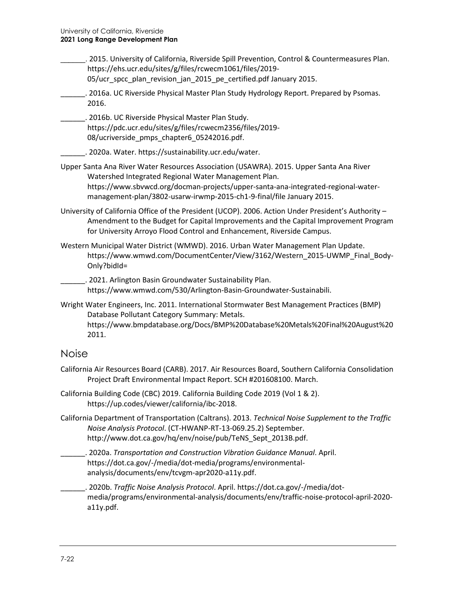\_\_\_\_\_\_. 2015. University of California, Riverside Spill Prevention, Control & Countermeasures Plan. https://ehs.ucr.edu/sites/g/files/rcwecm1061/files/2019- 05/ucr\_spcc\_plan\_revision\_jan\_2015\_pe\_certified.pdf January 2015.

\_\_\_\_\_\_. 2016a. UC Riverside Physical Master Plan Study Hydrology Report. Prepared by Psomas. 2016.

\_\_\_\_\_\_. 2016b. UC Riverside Physical Master Plan Study. https://pdc.ucr.edu/sites/g/files/rcwecm2356/files/2019- 08/ucriverside\_pmps\_chapter6\_05242016.pdf.

\_\_\_\_\_\_. 2020a. Water. https://sustainability.ucr.edu/water.

- Upper Santa Ana River Water Resources Association (USAWRA). 2015. Upper Santa Ana River Watershed Integrated Regional Water Management Plan. https://www.sbvwcd.org/docman-projects/upper-santa-ana-integrated-regional-watermanagement-plan/3802-usarw-irwmp-2015-ch1-9-final/file January 2015.
- University of California Office of the President (UCOP). 2006. Action Under President's Authority Amendment to the Budget for Capital Improvements and the Capital Improvement Program for University Arroyo Flood Control and Enhancement, Riverside Campus.
- Western Municipal Water District (WMWD). 2016. Urban Water Management Plan Update. [https://www.wmwd.com/DocumentCenter/View/3162/Western\\_2015-UWMP\\_Final\\_Body-](https://www.wmwd.com/DocumentCenter/View/3162/Western_2015-UWMP_Final_Body-Only?bidId=)[Only?bidId=](https://www.wmwd.com/DocumentCenter/View/3162/Western_2015-UWMP_Final_Body-Only?bidId=)

\_\_\_\_\_\_. 2021. Arlington Basin Groundwater Sustainability Plan. https://www.wmwd.com/530/Arlington-Basin-Groundwater-Sustainabili.

Wright Water Engineers, Inc. 2011. International Stormwater Best Management Practices (BMP) Database Pollutant Category Summary: Metals. https://www.bmpdatabase.org/Docs/BMP%20Database%20Metals%20Final%20August%20 2011.

#### Noise

- California Air Resources Board (CARB). 2017. Air Resources Board, Southern California Consolidation Project Draft Environmental Impact Report. SCH #201608100. March.
- California Building Code (CBC) 2019. California Building Code 2019 (Vol 1 & 2). [https://up.codes/viewer/california/ibc-2018.](https://up.codes/viewer/california/ibc-2018)
- California Department of Transportation (Caltrans). 2013. *Technical Noise Supplement to the Traffic Noise Analysis Protocol*. (CT-HWANP-RT-13-069.25.2) September. [http://www.dot.ca.gov/hq/env/noise/pub/TeNS\\_Sept\\_2013B.pdf.](http://www.dot.ca.gov/hq/env/noise/pub/TeNS_Sept_2013B.pdf)

\_\_\_\_\_\_. 2020a. *Transportation and Construction Vibration Guidance Manual*. April. [https://dot.ca.gov/-/media/dot-media/programs/environmental](https://dot.ca.gov/-/media/dot-media/programs/environmental-analysis/documents/env/tcvgm-apr2020-a11y.pdf)[analysis/documents/env/tcvgm-apr2020-a11y.pdf.](https://dot.ca.gov/-/media/dot-media/programs/environmental-analysis/documents/env/tcvgm-apr2020-a11y.pdf)

\_\_\_\_\_\_. 2020b. *Traffic Noise Analysis Protocol*. April. https://dot.ca.gov/-/media/dotmedia/programs/environmental-analysis/documents/env/traffic-noise-protocol-april-2020 a11y.pdf.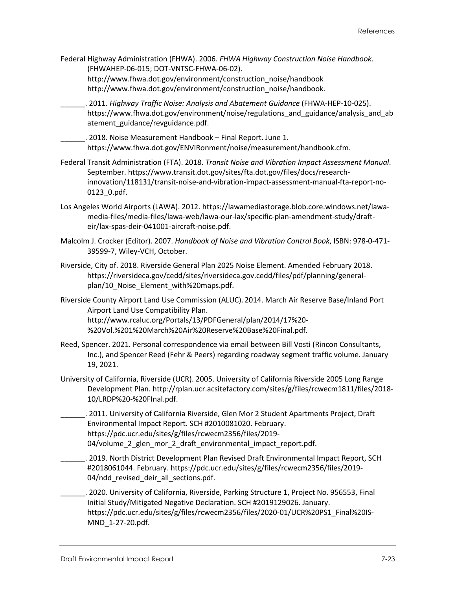- Federal Highway Administration (FHWA). 2006*. FHWA Highway Construction Noise Handbook*. (FHWAHEP-06-015; DOT-VNTSC-FHWA-06-02). http://www.fhwa.dot.gov/environment/construction\_noise/handbook [http://www.fhwa.dot.gov/environment/construction\\_noise/handbook.](http://www.fhwa.dot.gov/environment/construction_noise/handbook)
- \_\_\_\_\_\_. 2011. *Highway Traffic Noise: Analysis and Abatement Guidance* (FHWA-HEP-10-025). [https://www.fhwa.dot.gov/environment/noise/regulations\\_and\\_guidance/analysis\\_and\\_ab](https://www.fhwa.dot.gov/environment/noise/regulations_and_guidance/analysis_and_abatement_guidance/revguidance.pdf) [atement\\_guidance/revguidance.pdf.](https://www.fhwa.dot.gov/environment/noise/regulations_and_guidance/analysis_and_abatement_guidance/revguidance.pdf)

\_\_\_\_\_\_. 2018. Noise Measurement Handbook – Final Report. June 1. [https://www.fhwa.dot.gov/ENVIRonment/noise/measurement/handbook.cfm.](https://www.fhwa.dot.gov/ENVIRonment/noise/measurement/handbook.cfm)

- Federal Transit Administration (FTA). 2018. *Transit Noise and Vibration Impact Assessment Manual*. September. [https://www.transit.dot.gov/sites/fta.dot.gov/files/docs/research](https://www.transit.dot.gov/sites/fta.dot.gov/files/docs/research-innovation/118131/transit-noise-and-vibration-impact-assessment-manual-fta-report-no-0123_0.pdf)[innovation/118131/transit-noise-and-vibration-impact-assessment-manual-fta-report-no-](https://www.transit.dot.gov/sites/fta.dot.gov/files/docs/research-innovation/118131/transit-noise-and-vibration-impact-assessment-manual-fta-report-no-0123_0.pdf)[0123\\_0.pdf.](https://www.transit.dot.gov/sites/fta.dot.gov/files/docs/research-innovation/118131/transit-noise-and-vibration-impact-assessment-manual-fta-report-no-0123_0.pdf)
- Los Angeles World Airports (LAWA). 2012[. https://lawamediastorage.blob.core.windows.net/lawa](https://lawamediastorage.blob.core.windows.net/lawa-media-files/media-files/lawa-web/lawa-our-lax/specific-plan-amendment-study/draft-eir/lax-spas-deir-041001-aircraft-noise.pdf)[media-files/media-files/lawa-web/lawa-our-lax/specific-plan-amendment-study/draft](https://lawamediastorage.blob.core.windows.net/lawa-media-files/media-files/lawa-web/lawa-our-lax/specific-plan-amendment-study/draft-eir/lax-spas-deir-041001-aircraft-noise.pdf)[eir/lax-spas-deir-041001-aircraft-noise.pdf.](https://lawamediastorage.blob.core.windows.net/lawa-media-files/media-files/lawa-web/lawa-our-lax/specific-plan-amendment-study/draft-eir/lax-spas-deir-041001-aircraft-noise.pdf)
- Malcolm J. Crocker (Editor). 2007. *Handbook of Noise and Vibration Control Book*, ISBN: 978-0-471- 39599-7, Wiley-VCH, October.
- Riverside, City of. 2018. Riverside General Plan 2025 Noise Element. Amended February 2018. [https://riversideca.gov/cedd/sites/riversideca.gov.cedd/files/pdf/planning/general](https://riversideca.gov/cedd/sites/riversideca.gov.cedd/files/pdf/planning/general-plan/10_Noise_Element_with%20maps.pdf)[plan/10\\_Noise\\_Element\\_with%20maps.pdf.](https://riversideca.gov/cedd/sites/riversideca.gov.cedd/files/pdf/planning/general-plan/10_Noise_Element_with%20maps.pdf)
- Riverside County Airport Land Use Commission (ALUC). 2014. March Air Reserve Base/Inland Port Airport Land Use Compatibility Plan. [http://www.rcaluc.org/Portals/13/PDFGeneral/plan/2014/17%20-](http://www.rcaluc.org/Portals/13/PDFGeneral/plan/2014/17%20-%20Vol.%201%20March%20Air%20Reserve%20Base%20Final.pdf) [%20Vol.%201%20March%20Air%20Reserve%20Base%20Final.pdf.](http://www.rcaluc.org/Portals/13/PDFGeneral/plan/2014/17%20-%20Vol.%201%20March%20Air%20Reserve%20Base%20Final.pdf)
- Reed, Spencer. 2021. Personal correspondence via email between Bill Vosti (Rincon Consultants, Inc.), and Spencer Reed (Fehr & Peers) regarding roadway segment traffic volume. January 19, 2021.
- University of California, Riverside (UCR). 2005. University of California Riverside 2005 Long Range Development Plan. [http://rplan.ucr.acsitefactory.com/sites/g/files/rcwecm1811/files/2018-](http://rplan.ucr.acsitefactory.com/sites/g/files/rcwecm1811/files/2018-10/LRDP%20-%20FInal.pdf) [10/LRDP%20-%20FInal.pdf.](http://rplan.ucr.acsitefactory.com/sites/g/files/rcwecm1811/files/2018-10/LRDP%20-%20FInal.pdf)
- \_\_\_\_\_\_. 2011. University of California Riverside, Glen Mor 2 Student Apartments Project, Draft Environmental Impact Report. SCH #2010081020. February. [https://pdc.ucr.edu/sites/g/files/rcwecm2356/files/2019-](https://pdc.ucr.edu/sites/g/files/rcwecm2356/files/2019-04/volume_2_glen_mor_2_draft_environmental_impact_report.pdf) 04/volume 2 glen mor 2 draft environmental impact report.pdf.
	- \_\_\_\_\_\_. 2019. North District Development Plan Revised Draft Environmental Impact Report, SCH #2018061044. February. [https://pdc.ucr.edu/sites/g/files/rcwecm2356/files/2019-](https://pdc.ucr.edu/sites/g/files/rcwecm2356/files/2019-04/ndd_revised_deir_all_sections.pdf) 04/ndd revised deir all sections.pdf.
- \_\_\_\_\_\_. 2020. University of California, Riverside, Parking Structure 1, Project No. 956553, Final Initial Study/Mitigated Negative Declaration. SCH #2019129026. January. [https://pdc.ucr.edu/sites/g/files/rcwecm2356/files/2020-01/UCR%20PS1\\_Final%20IS-](https://pdc.ucr.edu/sites/g/files/rcwecm2356/files/2020-01/UCR%20PS1_Final%20IS-MND_1-27-20.pdf)[MND\\_1-27-20.pdf.](https://pdc.ucr.edu/sites/g/files/rcwecm2356/files/2020-01/UCR%20PS1_Final%20IS-MND_1-27-20.pdf)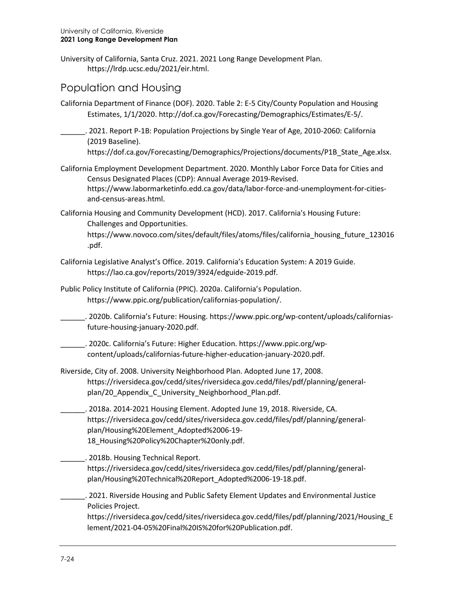University of California, Santa Cruz. 2021. 2021 Long Range Development Plan. [https://lrdp.ucsc.edu/2021/eir.html.](https://lrdp.ucsc.edu/2021/eir.html)

### Population and Housing

- California Department of Finance (DOF). 2020. Table 2: E-5 City/County Population and Housing Estimates, 1/1/2020. [http://dof.ca.gov/Forecasting/Demographics/Estimates/E-5/.](http://dof.ca.gov/Forecasting/Demographics/Estimates/E-5/)
	- \_\_\_\_\_\_. 2021. Report P-1B: Population Projections by Single Year of Age, 2010-2060: California (2019 Baseline).

[https://dof.ca.gov/Forecasting/Demographics/Projections/documents/P1B\\_State\\_Age.xlsx.](https://dof.ca.gov/Forecasting/Demographics/Projections/documents/P1B_State_Age.xlsx)

- California Employment Development Department. 2020. Monthly Labor Force Data for Cities and Census Designated Places (CDP): Annual Average 2019-Revised. [https://www.labormarketinfo.edd.ca.gov/data/labor-force-and-unemployment-for-cities](https://www.labormarketinfo.edd.ca.gov/data/labor-force-and-unemployment-for-cities-and-census-areas.html)[and-census-areas.html.](https://www.labormarketinfo.edd.ca.gov/data/labor-force-and-unemployment-for-cities-and-census-areas.html)
- California Housing and Community Development (HCD). 2017. California's Housing Future: Challenges and Opportunities.

[https://www.novoco.com/sites/default/files/atoms/files/california\\_housing\\_future\\_123016](https://www.novoco.com/sites/default/files/atoms/files/california_housing_future_123016.pdf) [.pdf.](https://www.novoco.com/sites/default/files/atoms/files/california_housing_future_123016.pdf)

- California Legislative Analyst's Office. 2019. California's Education System: A 2019 Guide. [https://lao.ca.gov/reports/2019/3924/edguide-2019.pdf.](https://lao.ca.gov/reports/2019/3924/edguide-2019.pdf)
- Public Policy Institute of California (PPIC). 2020a. California's Population. [https://www.ppic.org/publication/californias-population/.](https://www.ppic.org/publication/californias-population/)

\_\_\_\_\_\_. 2020b. California's Future: Housing[. https://www.ppic.org/wp-content/uploads/californias](https://www.ppic.org/wp-content/uploads/californias-future-housing-january-2020.pdf)[future-housing-january-2020.pdf.](https://www.ppic.org/wp-content/uploads/californias-future-housing-january-2020.pdf)

- \_\_\_\_\_\_. 2020c. California's Future: Higher Education. [https://www.ppic.org/wp](https://www.ppic.org/wp-content/uploads/californias-future-higher-education-january-2020.pdf)[content/uploads/californias-future-higher-education-january-2020.pdf.](https://www.ppic.org/wp-content/uploads/californias-future-higher-education-january-2020.pdf)
- Riverside, City of. 2008. University Neighborhood Plan. Adopted June 17, 2008. [https://riversideca.gov/cedd/sites/riversideca.gov.cedd/files/pdf/planning/general](https://riversideca.gov/cedd/sites/riversideca.gov.cedd/files/pdf/planning/general-plan/20_Appendix_C_University_Neighborhood_Plan.pdf)[plan/20\\_Appendix\\_C\\_University\\_Neighborhood\\_Plan.pdf.](https://riversideca.gov/cedd/sites/riversideca.gov.cedd/files/pdf/planning/general-plan/20_Appendix_C_University_Neighborhood_Plan.pdf)
- \_\_\_\_\_\_. 2018a. 2014-2021 Housing Element. Adopted June 19, 2018. Riverside, CA. [https://riversideca.gov/cedd/sites/riversideca.gov.cedd/files/pdf/planning/general](https://riversideca.gov/cedd/sites/riversideca.gov.cedd/files/pdf/planning/general-plan/Housing%20Element_Adopted%2006-19-18_Housing%20Policy%20Chapter%20only.pdf)[plan/Housing%20Element\\_Adopted%2006-19-](https://riversideca.gov/cedd/sites/riversideca.gov.cedd/files/pdf/planning/general-plan/Housing%20Element_Adopted%2006-19-18_Housing%20Policy%20Chapter%20only.pdf) [18\\_Housing%20Policy%20Chapter%20only.pdf.](https://riversideca.gov/cedd/sites/riversideca.gov.cedd/files/pdf/planning/general-plan/Housing%20Element_Adopted%2006-19-18_Housing%20Policy%20Chapter%20only.pdf)

\_\_\_\_\_. 2018b. Housing Technical Report. [https://riversideca.gov/cedd/sites/riversideca.gov.cedd/files/pdf/planning/general](https://riversideca.gov/cedd/sites/riversideca.gov.cedd/files/pdf/planning/general-plan/Housing%20Technical%20Report_Adopted%2006-19-18.pdf)[plan/Housing%20Technical%20Report\\_Adopted%2006-19-18.pdf.](https://riversideca.gov/cedd/sites/riversideca.gov.cedd/files/pdf/planning/general-plan/Housing%20Technical%20Report_Adopted%2006-19-18.pdf)

\_\_\_\_\_\_. 2021. Riverside Housing and Public Safety Element Updates and Environmental Justice Policies Project.

[https://riversideca.gov/cedd/sites/riversideca.gov.cedd/files/pdf/planning/2021/Housing\\_E](https://riversideca.gov/cedd/sites/riversideca.gov.cedd/files/pdf/planning/2021/Housing_Element/2021-04-05%20Final%20IS%20for%20Publication.pdf) [lement/2021-04-05%20Final%20IS%20for%20Publication.pdf.](https://riversideca.gov/cedd/sites/riversideca.gov.cedd/files/pdf/planning/2021/Housing_Element/2021-04-05%20Final%20IS%20for%20Publication.pdf)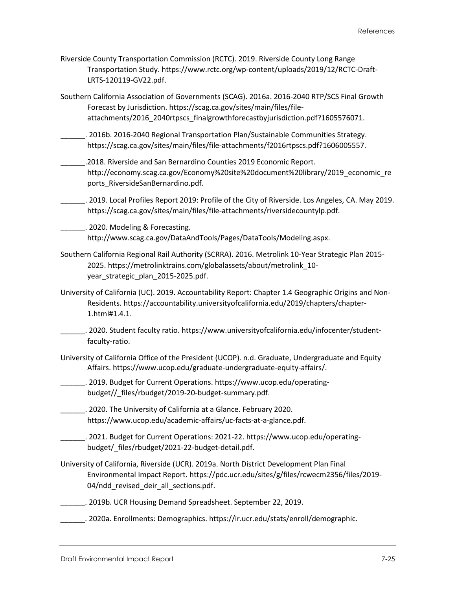- Riverside County Transportation Commission (RCTC). 2019. Riverside County Long Range Transportation Study. https://www.rctc.org/wp-content/uploads/2019/12/RCTC-Draft-LRTS-120119-GV22.pdf.
- Southern California Association of Governments (SCAG). 2016a. 2016-2040 RTP/SCS Final Growth Forecast by Jurisdiction. [https://scag.ca.gov/sites/main/files/file](https://scag.ca.gov/sites/main/files/file-attachments/2016_2040rtpscs_finalgrowthforecastbyjurisdiction.pdf?1605576071)[attachments/2016\\_2040rtpscs\\_finalgrowthforecastbyjurisdiction.pdf?1605576071.](https://scag.ca.gov/sites/main/files/file-attachments/2016_2040rtpscs_finalgrowthforecastbyjurisdiction.pdf?1605576071)
- \_\_\_\_\_\_. 2016b. 2016-2040 Regional Transportation Plan/Sustainable Communities Strategy. [https://scag.ca.gov/sites/main/files/file-attachments/f2016rtpscs.pdf?1606005557.](https://scag.ca.gov/sites/main/files/file-attachments/f2016rtpscs.pdf?1606005557)
- \_\_\_\_\_\_.2018. Riverside and San Bernardino Counties 2019 Economic Report. [http://economy.scag.ca.gov/Economy%20site%20document%20library/2019\\_economic\\_re](http://economy.scag.ca.gov/Economy%20site%20document%20library/2019_economic_reports_RiversideSanBernardino.pdf) [ports\\_RiversideSanBernardino.pdf.](http://economy.scag.ca.gov/Economy%20site%20document%20library/2019_economic_reports_RiversideSanBernardino.pdf)
- \_\_\_\_\_\_. 2019. Local Profiles Report 2019: Profile of the City of Riverside. Los Angeles, CA. May 2019. [https://scag.ca.gov/sites/main/files/file-attachments/riversidecountylp.pdf.](https://scag.ca.gov/sites/main/files/file-attachments/riversidecountylp.pdf)
- \_\_\_\_\_\_. 2020. Modeling & Forecasting. [http://www.scag.ca.gov/DataAndTools/Pages/DataTools/Modeling.aspx.](http://www.scag.ca.gov/DataAndTools/Pages/DataTools/Modeling.aspx)
- Southern California Regional Rail Authority (SCRRA). 2016. Metrolink 10-Year Strategic Plan 2015- 2025. [https://metrolinktrains.com/globalassets/about/metrolink\\_10](https://metrolinktrains.com/globalassets/about/metrolink_10-year_strategic_plan_2015-2025.pdf) year strategic plan 2015-2025.pdf.
- University of California (UC). 2019. Accountability Report: Chapter 1.4 Geographic Origins and Non-Residents. https://accountability.universityofcalifornia.edu/2019/chapters/chapter-1.html#1.4.1.
- \_\_\_\_\_\_. 2020. Student faculty ratio. [https://www.universityofcalifornia.edu/infocenter/student](https://www.universityofcalifornia.edu/infocenter/student-faculty-ratio)[faculty-ratio.](https://www.universityofcalifornia.edu/infocenter/student-faculty-ratio)
- University of California Office of the President (UCOP). n.d. Graduate, Undergraduate and Equity Affairs[. https://www.ucop.edu/graduate-undergraduate-equity-affairs/.](https://www.ucop.edu/graduate-undergraduate-equity-affairs/)
- \_\_\_\_\_\_. 2019. Budget for Current Operations[. https://www.ucop.edu/operating](https://www.ucop.edu/operating-budget/_files/rbudget/2019-20-budget-summary.pdf)[budget//\\_files/rbudget/2019-20-budget-summary.pdf.](https://www.ucop.edu/operating-budget/_files/rbudget/2019-20-budget-summary.pdf)
- \_\_\_\_\_\_. 2020. The University of California at a Glance. February 2020. [https://www.ucop.edu/academic-affairs/uc-facts-at-a-glance.pdf.](https://www.ucop.edu/academic-affairs/uc-facts-at-a-glance.pdf)
- \_\_\_\_\_\_\_. 2021. Budget for Current Operations: 2021-22. [https://www.ucop.edu/operating](https://www.ucop.edu/operating-budget/_files/rbudget/2021-22-budget-detail.pdf)[budget/\\_files/rbudget/2021-22-budget-detail.pdf.](https://www.ucop.edu/operating-budget/_files/rbudget/2021-22-budget-detail.pdf)
- University of California, Riverside (UCR). 2019a. North District Development Plan Final Environmental Impact Report[. https://pdc.ucr.edu/sites/g/files/rcwecm2356/files/2019-](https://pdc.ucr.edu/sites/g/files/rcwecm2356/files/2019-04/ndd_revised_deir_all_sections.pdf) [04/ndd\\_revised\\_deir\\_all\\_sections.pdf.](https://pdc.ucr.edu/sites/g/files/rcwecm2356/files/2019-04/ndd_revised_deir_all_sections.pdf)
- \_\_\_\_\_\_. 2019b. UCR Housing Demand Spreadsheet. September 22, 2019.
- \_\_\_\_\_\_. 2020a. Enrollments: Demographics. [https://ir.ucr.edu/stats/enroll/demographic.](https://ir.ucr.edu/stats/enroll/demographic)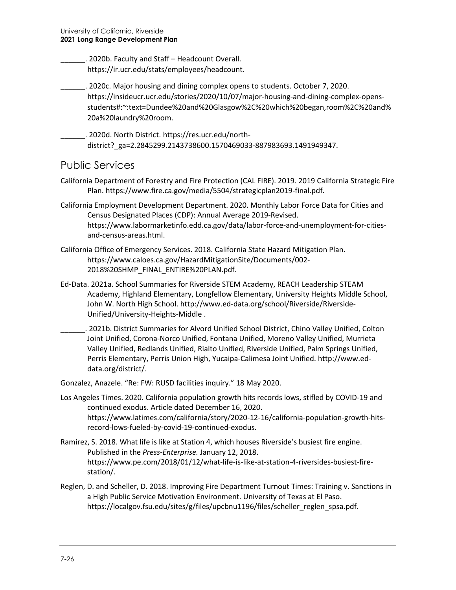\_\_\_\_\_\_. 2020b. Faculty and Staff – Headcount Overall. [https://ir.ucr.edu/stats/employees/headcount.](https://ir.ucr.edu/stats/employees/headcount)

- \_\_\_\_\_\_. 2020c. Major housing and dining complex opens to students. October 7, 2020. [https://insideucr.ucr.edu/stories/2020/10/07/major-housing-and-dining-complex-opens](https://insideucr.ucr.edu/stories/2020/10/07/major-housing-and-dining-complex-opens-students#:%7E:text=Dundee%20and%20Glasgow%2C%20which%20began,room%2C%20and%20a%20laundry%20room)[students#:~:text=Dundee%20and%20Glasgow%2C%20which%20began,room%2C%20and%](https://insideucr.ucr.edu/stories/2020/10/07/major-housing-and-dining-complex-opens-students#:%7E:text=Dundee%20and%20Glasgow%2C%20which%20began,room%2C%20and%20a%20laundry%20room) [20a%20laundry%20room.](https://insideucr.ucr.edu/stories/2020/10/07/major-housing-and-dining-complex-opens-students#:%7E:text=Dundee%20and%20Glasgow%2C%20which%20began,room%2C%20and%20a%20laundry%20room)
- \_\_\_\_\_\_. 2020d. North District. [https://res.ucr.edu/north](https://res.ucr.edu/north-district?_ga=2.2845299.2143738600.1570469033-887983693.1491949347)[district?\\_ga=2.2845299.2143738600.1570469033-887983693.1491949347.](https://res.ucr.edu/north-district?_ga=2.2845299.2143738600.1570469033-887983693.1491949347)

#### Public Services

- California Department of Forestry and Fire Protection (CAL FIRE). 2019. 2019 California Strategic Fire Plan. [https://www.fire.ca.gov/media/5504/strategicplan2019-final.pdf.](https://www.fire.ca.gov/media/5504/strategicplan2019-final.pdf)
- California Employment Development Department. 2020. Monthly Labor Force Data for Cities and Census Designated Places (CDP): Annual Average 2019-Revised. https://www.labormarketinfo.edd.ca.gov/data/labor-force-and-unemployment-for-citiesand-census-areas.html.
- California Office of Emergency Services. 2018. California State Hazard Mitigation Plan. [https://www.caloes.ca.gov/HazardMitigationSite/Documents/002-](https://www.caloes.ca.gov/HazardMitigationSite/Documents/002-2018%20SHMP_FINAL_ENTIRE%20PLAN.pdf) [2018%20SHMP\\_FINAL\\_ENTIRE%20PLAN.pdf.](https://www.caloes.ca.gov/HazardMitigationSite/Documents/002-2018%20SHMP_FINAL_ENTIRE%20PLAN.pdf)
- Ed-Data. 2021a. School Summaries for Riverside STEM Academy, REACH Leadership STEAM Academy, Highland Elementary, Longfellow Elementary, University Heights Middle School, John W. North High School. [http://www.ed-data.org/school/Riverside/Riverside-](http://www.ed-data.org/school/Riverside/Riverside-Unified/University-Heights-Middle)[Unified/University-Heights-Middle](http://www.ed-data.org/school/Riverside/Riverside-Unified/University-Heights-Middle) .
	- \_\_\_\_\_\_. 2021b. District Summaries for Alvord Unified School District, Chino Valley Unified, Colton Joint Unified, Corona-Norco Unified, Fontana Unified, Moreno Valley Unified, Murrieta Valley Unified, Redlands Unified, Rialto Unified, Riverside Unified, Palm Springs Unified, Perris Elementary, Perris Union High, Yucaipa-Calimesa Joint Unified. [http://www.ed](http://www.ed-data.org/district/)[data.org/district/.](http://www.ed-data.org/district/)
- Gonzalez, Anazele. "Re: FW: RUSD facilities inquiry." 18 May 2020.
- Los Angeles Times. 2020. California population growth hits records lows, stifled by COVID-19 and continued exodus. Article dated December 16, 2020. https://www.latimes.com/california/story/2020-12-16/california-population-growth-hitsrecord-lows-fueled-by-covid-19-continued-exodus.
- Ramirez, S. 2018. What life is like at Station 4, which houses Riverside's busiest fire engine. Published in the *Press-Enterprise.* January 12, 2018. [https://www.pe.com/2018/01/12/what-life-is-like-at-station-4-riversides-busiest-fire](https://www.pe.com/2018/01/12/what-life-is-like-at-station-4-riversides-busiest-fire-station/)[station/.](https://www.pe.com/2018/01/12/what-life-is-like-at-station-4-riversides-busiest-fire-station/)
- Reglen, D. and Scheller, D. 2018. Improving Fire Department Turnout Times: Training v. Sanctions in a High Public Service Motivation Environment. University of Texas at El Paso. [https://localgov.fsu.edu/sites/g/files/upcbnu1196/files/scheller\\_reglen\\_spsa.pdf.](https://localgov.fsu.edu/sites/g/files/upcbnu1196/files/scheller_reglen_spsa.pdf)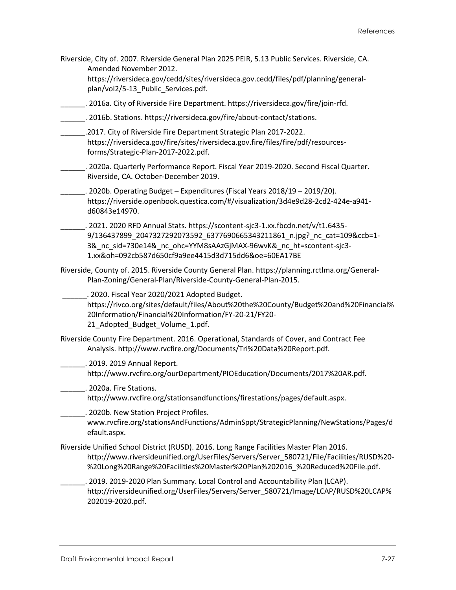Riverside, City of. 2007. Riverside General Plan 2025 PEIR, 5.13 Public Services. Riverside, CA. Amended November 2012. [https://riversideca.gov/cedd/sites/riversideca.gov.cedd/files/pdf/planning/general](https://riversideca.gov/cedd/sites/riversideca.gov.cedd/files/pdf/planning/general-plan/vol2/5-13_Public_Services.pdf)[plan/vol2/5-13\\_Public\\_Services.pdf.](https://riversideca.gov/cedd/sites/riversideca.gov.cedd/files/pdf/planning/general-plan/vol2/5-13_Public_Services.pdf) \_\_\_\_\_\_. 2016a. City of Riverside Fire Department. [https://riversideca.gov/fire/join-rfd.](https://riversideca.gov/fire/join-rfd) \_\_\_\_\_\_. 2016b. Stations. [https://riversideca.gov/fire/about-contact/stations.](https://riversideca.gov/fire/about-contact/stations) \_\_\_\_\_\_.2017. City of Riverside Fire Department Strategic Plan 2017-2022. [https://riversideca.gov/fire/sites/riversideca.gov.fire/files/fire/pdf/resources](https://riversideca.gov/fire/sites/riversideca.gov.fire/files/fire/pdf/resources-forms/Strategic-Plan-2017-2022.pdf)[forms/Strategic-Plan-2017-2022.pdf.](https://riversideca.gov/fire/sites/riversideca.gov.fire/files/fire/pdf/resources-forms/Strategic-Plan-2017-2022.pdf) \_\_\_\_\_\_. 2020a. Quarterly Performance Report. Fiscal Year 2019-2020. Second Fiscal Quarter. Riverside, CA. October-December 2019. \_\_\_\_\_\_. 2020b. Operating Budget – Expenditures (Fiscal Years 2018/19 – 2019/20). [https://riverside.openbook.questica.com/#/visualization/3d4e9d28-2cd2-424e-a941](https://riverside.openbook.questica.com/#/visualization/3d4e9d28-2cd2-424e-a941-d60843e14970) [d60843e14970.](https://riverside.openbook.questica.com/#/visualization/3d4e9d28-2cd2-424e-a941-d60843e14970) \_\_\_\_\_\_. 2021. 2020 RFD Annual Stats. https://scontent-sjc3-1.xx.fbcdn.net/v/t1.6435- 9/136437899\_2047327292073592\_6377690665343211861\_n.jpg?\_nc\_cat=109&ccb=1- 3& nc\_sid=730e14&\_nc\_ohc=YYM8sAAzGjMAX-96wvK&\_nc\_ht=scontent-sjc3-1.xx&oh=092cb587d650cf9a9ee4415d3d715dd6&oe=60EA17BE Riverside, County of. 2015. Riverside County General Plan. [https://planning.rctlma.org/General-](https://planning.rctlma.org/General-Plan-Zoning/General-Plan/Riverside-County-General-Plan-2015)[Plan-Zoning/General-Plan/Riverside-County-General-Plan-2015.](https://planning.rctlma.org/General-Plan-Zoning/General-Plan/Riverside-County-General-Plan-2015) \_\_\_\_\_\_. 2020. Fiscal Year 2020/2021 Adopted Budget. [https://rivco.org/sites/default/files/About%20the%20County/Budget%20and%20Financial%](https://rivco.org/sites/default/files/About%20the%20County/Budget%20and%20Financial%20Information/Financial%20Information/FY-20-21/FY20-21_Adopted_Budget_Volume_1.pdf) [20Information/Financial%20Information/FY-20-21/FY20-](https://rivco.org/sites/default/files/About%20the%20County/Budget%20and%20Financial%20Information/Financial%20Information/FY-20-21/FY20-21_Adopted_Budget_Volume_1.pdf) [21\\_Adopted\\_Budget\\_Volume\\_1.pdf.](https://rivco.org/sites/default/files/About%20the%20County/Budget%20and%20Financial%20Information/Financial%20Information/FY-20-21/FY20-21_Adopted_Budget_Volume_1.pdf) Riverside County Fire Department. 2016. Operational, Standards of Cover, and Contract Fee Analysis[. http://www.rvcfire.org/Documents/Tri%20Data%20Report.pdf.](http://www.rvcfire.org/Documents/Tri%20Data%20Report.pdf) \_\_\_\_\_\_. 2019. 2019 Annual Report. [http://www.rvcfire.org/ourDepartment/PIOEducation/Documents/2017%20AR.pdf.](http://www.rvcfire.org/ourDepartment/PIOEducation/Documents/2017%20AR.pdf) **\_\_\_\_\_\_\_**. 2020a. Fire Stations. [http://www.rvcfire.org/stationsandfunctions/firestations/pages/default.aspx.](http://www.rvcfire.org/stationsandfunctions/firestations/pages/default.aspx) \_\_\_\_\_\_. 2020b. New Station Project Profiles. [www.rvcfire.org/stationsAndFunctions/AdminSppt/StrategicPlanning/NewStations/Pages/d](http://www.rvcfire.org/stationsAndFunctions/AdminSppt/StrategicPlanning/NewStations/Pages/default.aspx) [efault.aspx.](http://www.rvcfire.org/stationsAndFunctions/AdminSppt/StrategicPlanning/NewStations/Pages/default.aspx) Riverside Unified School District (RUSD). 2016. Long Range Facilities Master Plan 2016. [http://www.riversideunified.org/UserFiles/Servers/Server\\_580721/File/Facilities/RUSD%20-](http://www.riversideunified.org/UserFiles/Servers/Server_580721/File/Facilities/RUSD%20-%20Long%20Range%20Facilities%20Master%20Plan%202016_%20Reduced%20File.pdf) [%20Long%20Range%20Facilities%20Master%20Plan%202016\\_%20Reduced%20File.pdf.](http://www.riversideunified.org/UserFiles/Servers/Server_580721/File/Facilities/RUSD%20-%20Long%20Range%20Facilities%20Master%20Plan%202016_%20Reduced%20File.pdf) \_\_\_\_\_\_. 2019. 2019-2020 Plan Summary. Local Control and Accountability Plan (LCAP). [http://riversideunified.org/UserFiles/Servers/Server\\_580721/Image/LCAP/RUSD%20LCAP%](http://riversideunified.org/UserFiles/Servers/Server_580721/Image/LCAP/RUSD%20LCAP%202019-2020.pdf) [202019-2020.pdf.](http://riversideunified.org/UserFiles/Servers/Server_580721/Image/LCAP/RUSD%20LCAP%202019-2020.pdf)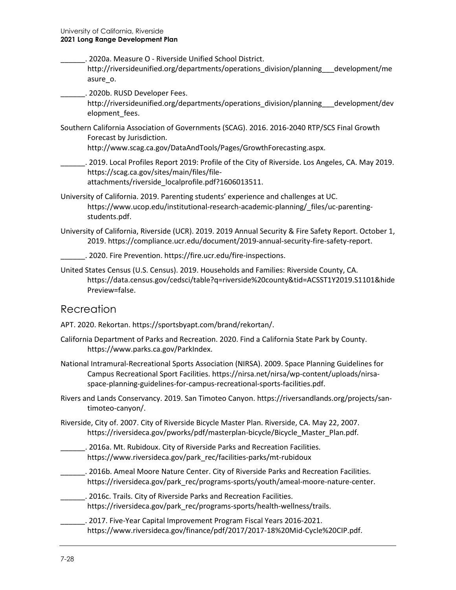- \_\_\_\_\_\_. 2020a. Measure O Riverside Unified School District. [http://riversideunified.org/departments/operations\\_division/planning\\_\\_\\_development/me](http://riversideunified.org/departments/operations_division/planning___development/measure_o) [asure\\_o.](http://riversideunified.org/departments/operations_division/planning___development/measure_o)
- \_\_\_\_\_\_. 2020b. RUSD Developer Fees.

[http://riversideunified.org/departments/operations\\_division/planning\\_\\_\\_development/dev](http://riversideunified.org/departments/operations_division/planning___development/development_fees) [elopment\\_fees.](http://riversideunified.org/departments/operations_division/planning___development/development_fees)

Southern California Association of Governments (SCAG). 2016. 2016-2040 RTP/SCS Final Growth Forecast by Jurisdiction.

[http://www.scag.ca.gov/DataAndTools/Pages/GrowthForecasting.aspx.](http://www.scag.ca.gov/DataAndTools/Pages/GrowthForecasting.aspx)

- \_\_\_\_\_\_. 2019. Local Profiles Report 2019: Profile of the City of Riverside. Los Angeles, CA. May 2019. [https://scag.ca.gov/sites/main/files/file](https://scag.ca.gov/sites/main/files/file-attachments/riverside_localprofile.pdf?1606013511)[attachments/riverside\\_localprofile.pdf?1606013511.](https://scag.ca.gov/sites/main/files/file-attachments/riverside_localprofile.pdf?1606013511)
- University of California. 2019. Parenting students' experience and challenges at UC. [https://www.ucop.edu/institutional-research-academic-planning/\\_files/uc-parenting](https://www.ucop.edu/institutional-research-academic-planning/_files/uc-parenting-students.pdf)[students.pdf.](https://www.ucop.edu/institutional-research-academic-planning/_files/uc-parenting-students.pdf)
- University of California, Riverside (UCR). 2019. 2019 Annual Security & Fire Safety Report. October 1, 2019. https://compliance.ucr.edu/document/2019-annual-security-fire-safety-report.
- \_\_\_\_\_\_. 2020. Fire Prevention[. https://fire.ucr.edu/fire-inspections.](https://fire.ucr.edu/fire-inspections)
- United States Census (U.S. Census). 2019. Households and Families: Riverside County, CA. [https://data.census.gov/cedsci/table?q=riverside%20county&tid=ACSST1Y2019.S1101&hide](https://data.census.gov/cedsci/table?q=riverside%20county&tid=ACSST1Y2019.S1101&hidePreview=false) [Preview=false.](https://data.census.gov/cedsci/table?q=riverside%20county&tid=ACSST1Y2019.S1101&hidePreview=false)

#### Recreation

APT. 2020. Rekortan[. https://sportsbyapt.com/brand/rekortan/.](https://sportsbyapt.com/brand/rekortan/)

- California Department of Parks and Recreation. 2020. Find a California State Park by County. [https://www.parks.ca.gov/ParkIndex.](https://www.parks.ca.gov/ParkIndex)
- National Intramural-Recreational Sports Association (NIRSA). 2009. Space Planning Guidelines for Campus Recreational Sport Facilities. [https://nirsa.net/nirsa/wp-content/uploads/nirsa](https://nirsa.net/nirsa/wp-content/uploads/nirsa-space-planning-guidelines-for-campus-recreational-sports-facilities.pdf)[space-planning-guidelines-for-campus-recreational-sports-facilities.pdf.](https://nirsa.net/nirsa/wp-content/uploads/nirsa-space-planning-guidelines-for-campus-recreational-sports-facilities.pdf)
- Rivers and Lands Conservancy. 2019. San Timoteo Canyon. [https://riversandlands.org/projects/san](https://riversandlands.org/projects/san-timoteo-canyon/)[timoteo-canyon/.](https://riversandlands.org/projects/san-timoteo-canyon/)
- Riverside, City of. 2007. City of Riverside Bicycle Master Plan. Riverside, CA. May 22, 2007. [https://riversideca.gov/pworks/pdf/masterplan-bicycle/Bicycle\\_Master\\_Plan.pdf.](https://riversideca.gov/pworks/pdf/masterplan-bicycle/Bicycle_Master_Plan.pdf)
	- \_\_\_\_\_\_. 2016a. Mt. Rubidoux. City of Riverside Parks and Recreation Facilities. https://www.riversideca.gov/park\_rec/facilities-parks/mt-rubidoux
- \_\_\_\_\_\_. 2016b. Ameal Moore Nature Center. City of Riverside Parks and Recreation Facilities. [https://riversideca.gov/park\\_rec/programs-sports/youth/ameal-moore-nature-center.](https://riversideca.gov/park_rec/programs-sports/youth/ameal-moore-nature-center)
- \_\_\_\_\_\_. 2016c. Trails. City of Riverside Parks and Recreation Facilities. [https://riversideca.gov/park\\_rec/programs-sports/health-wellness/trails.](https://riversideca.gov/park_rec/programs-sports/health-wellness/trails)
- \_\_\_\_\_\_. 2017. Five-Year Capital Improvement Program Fiscal Years 2016-2021. [https://www.riversideca.gov/finance/pdf/2017/2017-18%20Mid-Cycle%20CIP.pdf.](https://www.riversideca.gov/finance/pdf/2017/2017-18%20Mid-Cycle%20CIP.pdf)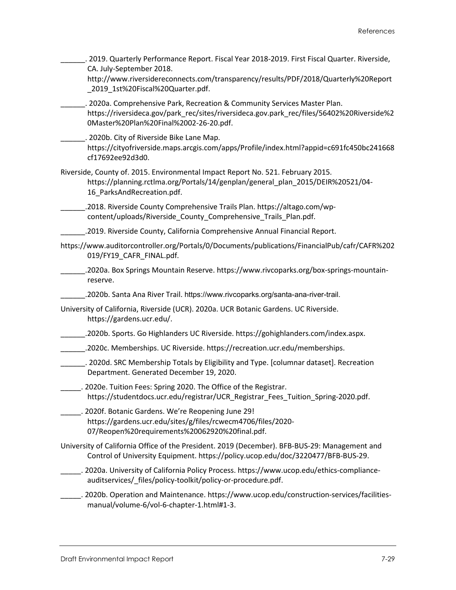| 2019. Quarterly Performance Report. Fiscal Year 2018-2019. First Fiscal Quarter. Riverside,<br>CA. July-September 2018.<br>http://www.riversidereconnects.com/transparency/results/PDF/2018/Quarterly%20Report<br>_2019_1st%20Fiscal%20Quarter.pdf. |  |
|-----------------------------------------------------------------------------------------------------------------------------------------------------------------------------------------------------------------------------------------------------|--|
| . 2020a. Comprehensive Park, Recreation & Community Services Master Plan.<br>https://riversideca.gov/park_rec/sites/riversideca.gov.park_rec/files/56402%20Riverside%2<br>0Master%20Plan%20Final%2002-26-20.pdf.                                    |  |
| . 2020b. City of Riverside Bike Lane Map.<br>https://cityofriverside.maps.arcgis.com/apps/Profile/index.html?appid=c691fc450bc241668<br>cf17692ee92d3d0.                                                                                            |  |
| Riverside, County of. 2015. Environmental Impact Report No. 521. February 2015.<br>https://planning.rctlma.org/Portals/14/genplan/general_plan_2015/DEIR%20521/04-<br>16_ParksAndRecreation.pdf.                                                    |  |
| .2018. Riverside County Comprehensive Trails Plan. https://altago.com/wp-<br>content/uploads/Riverside County Comprehensive Trails Plan.pdf.                                                                                                        |  |
| .2019. Riverside County, California Comprehensive Annual Financial Report.                                                                                                                                                                          |  |
| https://www.auditorcontroller.org/Portals/0/Documents/publications/FinancialPub/cafr/CAFR%202<br>019/FY19_CAFR_FINAL.pdf.                                                                                                                           |  |
| .2020a. Box Springs Mountain Reserve. https://www.rivcoparks.org/box-springs-mountain-<br>reserve.                                                                                                                                                  |  |
| .2020b. Santa Ana River Trail. https://www.rivcoparks.org/santa-ana-river-trail.                                                                                                                                                                    |  |
| University of California, Riverside (UCR). 2020a. UCR Botanic Gardens. UC Riverside.<br>https://gardens.ucr.edu/.                                                                                                                                   |  |
| .2020b. Sports. Go Highlanders UC Riverside. https://gohighlanders.com/index.aspx.                                                                                                                                                                  |  |
| .2020c. Memberships. UC Riverside. https://recreation.ucr.edu/memberships.                                                                                                                                                                          |  |
| . 2020d. SRC Membership Totals by Eligibility and Type. [columnar dataset]. Recreation<br>Department. Generated December 19, 2020.                                                                                                                  |  |
| 2020e. Tuition Fees: Spring 2020. The Office of the Registrar.<br>https://studentdocs.ucr.edu/registrar/UCR_Registrar_Fees_Tuition_Spring-2020.pdf.                                                                                                 |  |
| . 2020f. Botanic Gardens. We're Reopening June 29!<br>https://gardens.ucr.edu/sites/g/files/rcwecm4706/files/2020-<br>07/Reopen%20requirements%20062920%20final.pdf.                                                                                |  |
| University of California Office of the President. 2019 (December). BFB-BUS-29: Management and<br>Control of University Equipment. https://policy.ucop.edu/doc/3220477/BFB-BUS-29.                                                                   |  |
| _. 2020a. University of California Policy Process. https://www.ucop.edu/ethics-compliance-<br>auditservices/_files/policy-toolkit/policy-or-procedure.pdf.                                                                                          |  |
| . 2020b. Operation and Maintenance. https://www.ucop.edu/construction-services/facilities-<br>manual/volume-6/vol-6-chapter-1.html#1-3.                                                                                                             |  |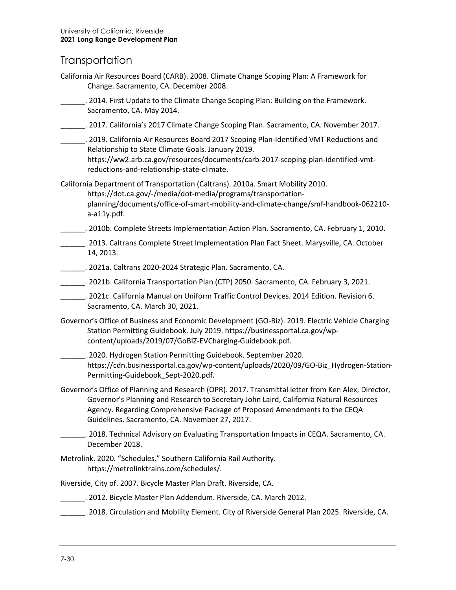### **Transportation**

- California Air Resources Board (CARB). 2008. Climate Change Scoping Plan: A Framework for Change. Sacramento, CA. December 2008.
- \_\_\_\_\_\_. 2014. First Update to the Climate Change Scoping Plan: Building on the Framework. Sacramento, CA. May 2014.
- \_\_\_\_\_\_. 2017. California's 2017 Climate Change Scoping Plan. Sacramento, CA. November 2017.
- \_\_\_\_\_\_. 2019. California Air Resources Board 2017 Scoping Plan-Identified VMT Reductions and Relationship to State Climate Goals. January 2019. [https://ww2.arb.ca.gov/resources/documents/carb-2017-scoping-plan-identified-vmt](https://ww2.arb.ca.gov/resources/documents/carb-2017-scoping-plan-identified-vmt-reductions-and-relationship-state-climate)[reductions-and-relationship-state-climate.](https://ww2.arb.ca.gov/resources/documents/carb-2017-scoping-plan-identified-vmt-reductions-and-relationship-state-climate)

California Department of Transportation (Caltrans). 2010a. Smart Mobility 2010. [https://dot.ca.gov/-/media/dot-media/programs/transportation](https://dot.ca.gov/-/media/dot-media/programs/transportation-planning/documents/office-of-smart-mobility-and-climate-change/smf-handbook-062210-a-a11y.pdf)[planning/documents/office-of-smart-mobility-and-climate-change/smf-handbook-062210](https://dot.ca.gov/-/media/dot-media/programs/transportation-planning/documents/office-of-smart-mobility-and-climate-change/smf-handbook-062210-a-a11y.pdf) [a-a11y.pdf.](https://dot.ca.gov/-/media/dot-media/programs/transportation-planning/documents/office-of-smart-mobility-and-climate-change/smf-handbook-062210-a-a11y.pdf)

- \_\_\_\_\_\_. 2010b. Complete Streets Implementation Action Plan. Sacramento, CA. February 1, 2010.
- \_\_\_\_\_\_. 2013. Caltrans Complete Street Implementation Plan Fact Sheet. Marysville, CA. October 14, 2013.
- \_\_\_\_\_\_. 2021a. Caltrans 2020-2024 Strategic Plan. Sacramento, CA.
- \_\_\_\_\_\_. 2021b. California Transportation Plan (CTP) 2050. Sacramento, CA. February 3, 2021.
- \_\_\_\_\_\_. 2021c. California Manual on Uniform Traffic Control Devices. 2014 Edition. Revision 6. Sacramento, CA. March 30, 2021.
- Governor's Office of Business and Economic Development (GO-Biz). 2019. Electric Vehicle Charging Station Permitting Guidebook. July 2019. [https://businessportal.ca.gov/wp](https://businessportal.ca.gov/wp-content/uploads/2019/07/GoBIZ-EVCharging-Guidebook.pdf)[content/uploads/2019/07/GoBIZ-EVCharging-Guidebook.pdf.](https://businessportal.ca.gov/wp-content/uploads/2019/07/GoBIZ-EVCharging-Guidebook.pdf)
- \_\_\_\_\_\_. 2020. Hydrogen Station Permitting Guidebook. September 2020. [https://cdn.businessportal.ca.gov/wp-content/uploads/2020/09/GO-Biz\\_Hydrogen-Station-](https://cdn.businessportal.ca.gov/wp-content/uploads/2020/09/GO-Biz_Hydrogen-Station-Permitting-Guidebook_Sept-2020.pdf)[Permitting-Guidebook\\_Sept-2020.pdf.](https://cdn.businessportal.ca.gov/wp-content/uploads/2020/09/GO-Biz_Hydrogen-Station-Permitting-Guidebook_Sept-2020.pdf)
- Governor's Office of Planning and Research (OPR). 2017. Transmittal letter from Ken Alex, Director, Governor's Planning and Research to Secretary John Laird, California Natural Resources Agency. Regarding Comprehensive Package of Proposed Amendments to the CEQA Guidelines. Sacramento, CA. November 27, 2017.
- \_\_\_\_\_\_. 2018. Technical Advisory on Evaluating Transportation Impacts in CEQA. Sacramento, CA. December 2018.
- Metrolink. 2020. "Schedules." Southern California Rail Authority. [https://metrolinktrains.com/schedules/.](https://metrolinktrains.com/schedules/)
- Riverside, City of. 2007. Bicycle Master Plan Draft. Riverside, CA.
- \_\_\_\_\_\_. 2012. Bicycle Master Plan Addendum. Riverside, CA. March 2012.
- \_\_\_\_\_\_. 2018. Circulation and Mobility Element. City of Riverside General Plan 2025. Riverside, CA.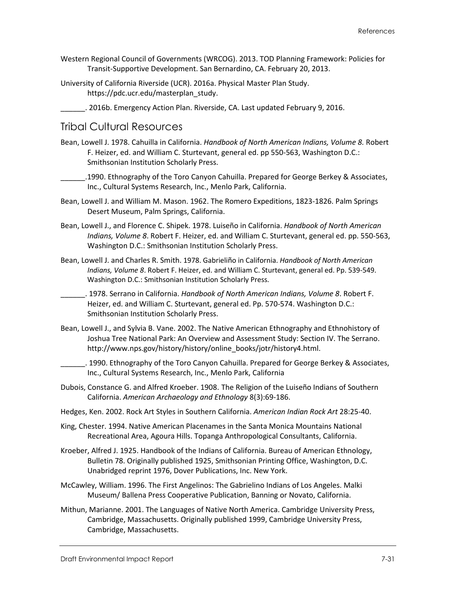- Western Regional Council of Governments (WRCOG). 2013. TOD Planning Framework: Policies for Transit-Supportive Development. San Bernardino, CA. February 20, 2013.
- University of California Riverside (UCR). 2016a. Physical Master Plan Study. [https://pdc.ucr.edu/masterplan\\_study.](https://pdc.ucr.edu/masterplan_study)
- \_\_\_\_\_\_. 2016b. Emergency Action Plan. Riverside, CA. Last updated February 9, 2016.

#### Tribal Cultural Resources

- Bean, Lowell J. 1978. Cahuilla in California. *Handbook of North American Indians, Volume 8.* Robert F. Heizer, ed. and William C. Sturtevant, general ed. pp 550-563, Washington D.C.: Smithsonian Institution Scholarly Press.
- \_\_\_\_\_\_.1990. Ethnography of the Toro Canyon Cahuilla. Prepared for George Berkey & Associates, Inc., Cultural Systems Research, Inc., Menlo Park, California.
- Bean, Lowell J. and William M. Mason. 1962. The Romero Expeditions, 1823-1826. Palm Springs Desert Museum, Palm Springs, California.
- Bean, Lowell J., and Florence C. Shipek. 1978. Luiseño in California. *Handbook of North American Indians, Volume 8*. Robert F. Heizer, ed. and William C. Sturtevant, general ed. pp. 550-563, Washington D.C.: Smithsonian Institution Scholarly Press.
- Bean, Lowell J. and Charles R. Smith. 1978. Gabrieliño in California. *Handbook of North American Indians, Volume 8*. Robert F. Heizer, ed. and William C. Sturtevant, general ed. Pp. 539-549. Washington D.C.: Smithsonian Institution Scholarly Press.
- \_\_\_\_\_\_. 1978. Serrano in California. *Handbook of North American Indians, Volume 8*. Robert F. Heizer, ed. and William C. Sturtevant, general ed. Pp. 570-574. Washington D.C.: Smithsonian Institution Scholarly Press.
- Bean, Lowell J., and Sylvia B. Vane. 2002. The Native American Ethnography and Ethnohistory of Joshua Tree National Park: An Overview and Assessment Study: Section IV. The Serrano. http://www.nps.gov/history/history/online\_books/jotr/history4.html.
	- \_\_\_\_\_\_. 1990. Ethnography of the Toro Canyon Cahuilla. Prepared for George Berkey & Associates, Inc., Cultural Systems Research, Inc., Menlo Park, California
- Dubois, Constance G. and Alfred Kroeber. 1908. The Religion of the Luiseño Indians of Southern California. *American Archaeology and Ethnology* 8(3):69-186.
- Hedges, Ken. 2002. Rock Art Styles in Southern California. *American Indian Rock Art* 28:25-40.
- King, Chester. 1994. Native American Placenames in the Santa Monica Mountains National Recreational Area, Agoura Hills. Topanga Anthropological Consultants, California.
- Kroeber, Alfred J. 1925. Handbook of the Indians of California. Bureau of American Ethnology, Bulletin 78. Originally published 1925, Smithsonian Printing Office, Washington, D.C. Unabridged reprint 1976, Dover Publications, Inc. New York.
- McCawley, William. 1996. The First Angelinos: The Gabrielino Indians of Los Angeles. Malki Museum/ Ballena Press Cooperative Publication, Banning or Novato, California.
- Mithun, Marianne. 2001. The Languages of Native North America. Cambridge University Press, Cambridge, Massachusetts. Originally published 1999, Cambridge University Press, Cambridge, Massachusetts.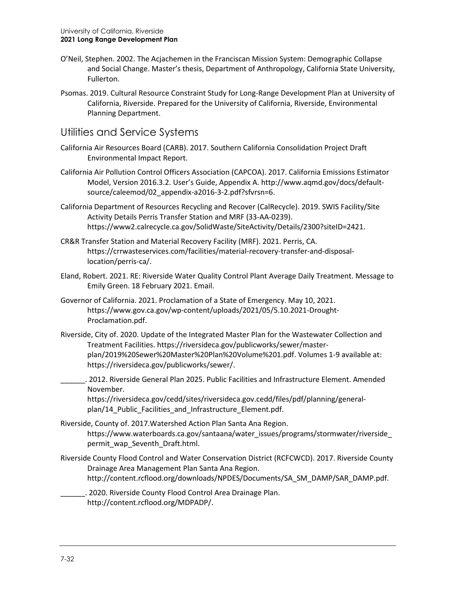- O'Neil, Stephen. 2002. The Acjachemen in the Franciscan Mission System: Demographic Collapse and Social Change. Master's thesis, Department of Anthropology, California State University, Fullerton.
- Psomas. 2019. Cultural Resource Constraint Study for Long-Range Development Plan at University of California, Riverside. Prepared for the University of California, Riverside, Environmental Planning Department.

### Utilities and Service Systems

- California Air Resources Board (CARB). 2017. Southern California Consolidation Project Draft Environmental Impact Report.
- California Air Pollution Control Officers Association (CAPCOA). 2017. California Emissions Estimator Model, Version 2016.3.2. User's Guide, Appendix A[. http://www.aqmd.gov/docs/default](http://www.aqmd.gov/docs/default-source/caleemod/02_appendix-a2016-3-2.pdf?sfvrsn=6)[source/caleemod/02\\_appendix-a2016-3-2.pdf?sfvrsn=6.](http://www.aqmd.gov/docs/default-source/caleemod/02_appendix-a2016-3-2.pdf?sfvrsn=6)
- California Department of Resources Recycling and Recover (CalRecycle). 2019. SWIS Facility/Site Activity Details Perris Transfer Station and MRF (33-AA-0239). [https://www2.calrecycle.ca.gov/SolidWaste/SiteActivity/Details/2300?siteID=2421.](https://www2.calrecycle.ca.gov/SolidWaste/SiteActivity/Details/2300?siteID=2421)
- CR&R Transfer Station and Material Recovery Facility (MRF). 2021. Perris, CA. [https://crrwasteservices.com/facilities/material-recovery-transfer-and-disposal](https://crrwasteservices.com/facilities/material-recovery-transfer-and-disposal-location/perris-ca/)[location/perris-ca/.](https://crrwasteservices.com/facilities/material-recovery-transfer-and-disposal-location/perris-ca/)
- Eland, Robert. 2021. RE: Riverside Water Quality Control Plant Average Daily Treatment. Message to Emily Green. 18 February 2021. Email.
- Governor of California. 2021. Proclamation of a State of Emergency. May 10, 2021. [https://www.gov.ca.gov/wp-content/uploads/2021/05/5.10.2021-Drought-](https://www.gov.ca.gov/wp-content/uploads/2021/05/5.10.2021-Drought-Proclamation.pdf)[Proclamation.pdf.](https://www.gov.ca.gov/wp-content/uploads/2021/05/5.10.2021-Drought-Proclamation.pdf)
- Riverside, City of. 2020. Update of the Integrated Master Plan for the Wastewater Collection and Treatment Facilities. [https://riversideca.gov/publicworks/sewer/master](https://riversideca.gov/publicworks/sewer/master-plan/2019%20Sewer%20Master%20Plan%20Volume%201.pdf)[plan/2019%20Sewer%20Master%20Plan%20Volume%201.pdf.](https://riversideca.gov/publicworks/sewer/master-plan/2019%20Sewer%20Master%20Plan%20Volume%201.pdf) Volumes 1-9 available at: [https://riversideca.gov/publicworks/sewer/.](https://riversideca.gov/publicworks/sewer/)
	- \_\_\_\_\_\_. 2012. Riverside General Plan 2025. Public Facilities and Infrastructure Element. Amended November.

[https://riversideca.gov/cedd/sites/riversideca.gov.cedd/files/pdf/planning/general](https://riversideca.gov/cedd/sites/riversideca.gov.cedd/files/pdf/planning/general-plan/14_Public_Facilities_and_Infrastructure_Element.pdf)[plan/14\\_Public\\_Facilities\\_and\\_Infrastructure\\_Element.pdf.](https://riversideca.gov/cedd/sites/riversideca.gov.cedd/files/pdf/planning/general-plan/14_Public_Facilities_and_Infrastructure_Element.pdf)

- Riverside, County of. 2017.Watershed Action Plan Santa Ana Region. [https://www.waterboards.ca.gov/santaana/water\\_issues/programs/stormwater/riverside\\_](https://www.waterboards.ca.gov/santaana/water_issues/programs/stormwater/riverside_permit_wap_Seventh_Draft.html) [permit\\_wap\\_Seventh\\_Draft.html.](https://www.waterboards.ca.gov/santaana/water_issues/programs/stormwater/riverside_permit_wap_Seventh_Draft.html)
- Riverside County Flood Control and Water Conservation District (RCFCWCD). 2017. Riverside County Drainage Area Management Plan Santa Ana Region. [http://content.rcflood.org/downloads/NPDES/Documents/SA\\_SM\\_DAMP/SAR\\_DAMP.pdf.](http://content.rcflood.org/downloads/NPDES/Documents/SA_SM_DAMP/SAR_DAMP.pdf)

\_\_\_\_\_\_. 2020. Riverside County Flood Control Area Drainage Plan. [http://content.rcflood.org/MDPADP/.](http://content.rcflood.org/MDPADP/)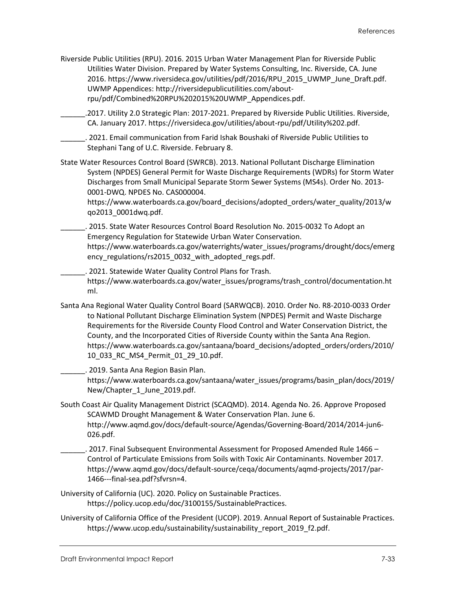Riverside Public Utilities (RPU). 2016. 2015 Urban Water Management Plan for Riverside Public Utilities Water Division. Prepared by Water Systems Consulting, Inc. Riverside, CA. June 2016. [https://www.riversideca.gov/utilities/pdf/2016/RPU\\_2015\\_UWMP\\_June\\_Draft.pdf.](https://www.riversideca.gov/utilities/pdf/2016/RPU_2015_UWMP_June_Draft.pdf) UWMP Appendices: [http://riversidepublicutilities.com/about](http://riversidepublicutilities.com/about-rpu/pdf/Combined%20RPU%202015%20UWMP_Appendices.pdf)[rpu/pdf/Combined%20RPU%202015%20UWMP\\_Appendices.pdf.](http://riversidepublicutilities.com/about-rpu/pdf/Combined%20RPU%202015%20UWMP_Appendices.pdf)

\_\_\_\_\_\_.2017. Utility 2.0 Strategic Plan: 2017-2021. Prepared by Riverside Public Utilities. Riverside, CA. January 2017. [https://riversideca.gov/utilities/about-rpu/pdf/Utility%202.pdf.](https://riversideca.gov/utilities/about-rpu/pdf/Utility%202.pdf)

\_\_\_\_\_\_. 2021. Email communication from Farid Ishak Boushaki of Riverside Public Utilities to Stephani Tang of U.C. Riverside. February 8.

State Water Resources Control Board (SWRCB). 2013. National Pollutant Discharge Elimination System (NPDES) General Permit for Waste Discharge Requirements (WDRs) for Storm Water Discharges from Small Municipal Separate Storm Sewer Systems (MS4s). Order No. 2013- 0001-DWQ. NPDES No. CAS000004.

[https://www.waterboards.ca.gov/board\\_decisions/adopted\\_orders/water\\_quality/2013/w](https://www.waterboards.ca.gov/board_decisions/adopted_orders/water_quality/2013/wqo2013_0001dwq.pdf) [qo2013\\_0001dwq.pdf.](https://www.waterboards.ca.gov/board_decisions/adopted_orders/water_quality/2013/wqo2013_0001dwq.pdf)

\_\_\_\_\_\_. 2015. State Water Resources Control Board Resolution No. 2015-0032 To Adopt an Emergency Regulation for Statewide Urban Water Conservation. [https://www.waterboards.ca.gov/waterrights/water\\_issues/programs/drought/docs/emerg](https://www.waterboards.ca.gov/waterrights/water_issues/programs/drought/docs/emergency_regulations/rs2015_0032_with_adopted_regs.pdf) [ency\\_regulations/rs2015\\_0032\\_with\\_adopted\\_regs.pdf.](https://www.waterboards.ca.gov/waterrights/water_issues/programs/drought/docs/emergency_regulations/rs2015_0032_with_adopted_regs.pdf)

\_\_\_\_\_\_. 2021. Statewide Water Quality Control Plans for Trash. [https://www.waterboards.ca.gov/water\\_issues/programs/trash\\_control/documentation.ht](https://www.waterboards.ca.gov/water_issues/programs/trash_control/documentation.html) [ml.](https://www.waterboards.ca.gov/water_issues/programs/trash_control/documentation.html)

Santa Ana Regional Water Quality Control Board (SARWQCB). 2010. Order No. R8-2010-0033 Order to National Pollutant Discharge Elimination System (NPDES) Permit and Waste Discharge Requirements for the Riverside County Flood Control and Water Conservation District, the County, and the Incorporated Cities of Riverside County within the Santa Ana Region. [https://www.waterboards.ca.gov/santaana/board\\_decisions/adopted\\_orders/orders/2010/](https://www.waterboards.ca.gov/santaana/board_decisions/adopted_orders/orders/2010/10_033_RC_MS4_Permit_01_29_10.pdf) [10\\_033\\_RC\\_MS4\\_Permit\\_01\\_29\\_10.pdf.](https://www.waterboards.ca.gov/santaana/board_decisions/adopted_orders/orders/2010/10_033_RC_MS4_Permit_01_29_10.pdf)

\_\_\_\_\_\_. 2019. Santa Ana Region Basin Plan.

[https://www.waterboards.ca.gov/santaana/water\\_issues/programs/basin\\_plan/docs/2019/](https://www.waterboards.ca.gov/santaana/water_issues/programs/basin_plan/docs/2019/New/Chapter_1_June_2019.pdf) New/Chapter 1 June 2019.pdf.

- South Coast Air Quality Management District (SCAQMD). 2014. Agenda No. 26. Approve Proposed SCAWMD Drought Management & Water Conservation Plan. June 6. [http://www.aqmd.gov/docs/default-source/Agendas/Governing-Board/2014/2014-jun6-](http://www.aqmd.gov/docs/default-source/Agendas/Governing-Board/2014/2014-jun6-026.pdf) [026.pdf.](http://www.aqmd.gov/docs/default-source/Agendas/Governing-Board/2014/2014-jun6-026.pdf)
	- \_\_\_\_\_\_. 2017. Final Subsequent Environmental Assessment for Proposed Amended Rule 1466 Control of Particulate Emissions from Soils with Toxic Air Contaminants. November 2017. [https://www.aqmd.gov/docs/default-source/ceqa/documents/aqmd-projects/2017/par-](https://www.aqmd.gov/docs/default-source/ceqa/documents/aqmd-projects/2017/par-1466---final-sea.pdf?sfvrsn=4)[1466---final-sea.pdf?sfvrsn=4.](https://www.aqmd.gov/docs/default-source/ceqa/documents/aqmd-projects/2017/par-1466---final-sea.pdf?sfvrsn=4)

University of California (UC). 2020. Policy on Sustainable Practices. [https://policy.ucop.edu/doc/3100155/SustainablePractices.](https://policy.ucop.edu/doc/3100155/SustainablePractices)

University of California Office of the President (UCOP). 2019. Annual Report of Sustainable Practices. [https://www.ucop.edu/sustainability/sustainability\\_report\\_2019\\_f2.pdf.](https://www.ucop.edu/sustainability/sustainability_report_2019_f2.pdf)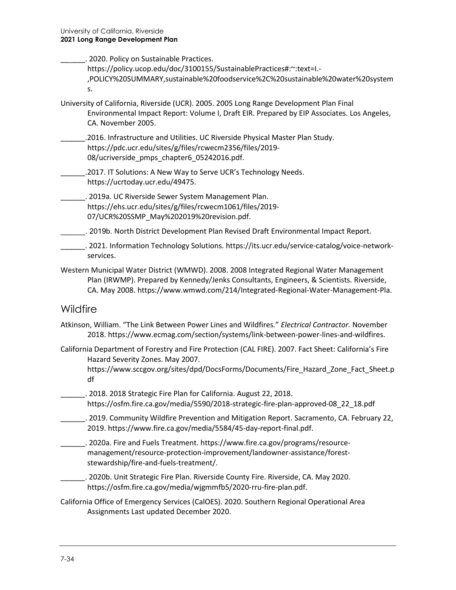| . 2020. Policy on Sustainable Practices.<br>https://policy.ucop.edu/doc/3100155/SustainablePractices#:~: text=I .-<br>,POLICY%20SUMMARY,sustainable%20foodservice%2C%20sustainable%20water%20system<br>s.                                                                |
|--------------------------------------------------------------------------------------------------------------------------------------------------------------------------------------------------------------------------------------------------------------------------|
| University of California, Riverside (UCR). 2005. 2005 Long Range Development Plan Final<br>Environmental Impact Report: Volume I, Draft EIR. Prepared by EIP Associates. Los Angeles,<br>CA. November 2005.                                                              |
| .2016. Infrastructure and Utilities. UC Riverside Physical Master Plan Study.<br>https://pdc.ucr.edu/sites/g/files/rcwecm2356/files/2019-<br>08/ucriverside_pmps_chapter6_05242016.pdf.                                                                                  |
| .2017. IT Solutions: A New Way to Serve UCR's Technology Needs.<br>https://ucrtoday.ucr.edu/49475.                                                                                                                                                                       |
| . 2019a. UC Riverside Sewer System Management Plan.<br>https://ehs.ucr.edu/sites/g/files/rcwecm1061/files/2019-<br>07/UCR%20SSMP_May%202019%20revision.pdf.                                                                                                              |
| . 2019b. North District Development Plan Revised Draft Environmental Impact Report.                                                                                                                                                                                      |
| _. 2021. Information Technology Solutions. https://its.ucr.edu/service-catalog/voice-network-<br>services.                                                                                                                                                               |
| Western Municipal Water District (WMWD). 2008. 2008 Integrated Regional Water Management<br>Plan (IRWMP). Prepared by Kennedy/Jenks Consultants, Engineers, & Scientists. Riverside,<br>CA. May 2008. https://www.wmwd.com/214/Integrated-Regional-Water-Management-Pla. |
| Wildfire                                                                                                                                                                                                                                                                 |
| Atkinson, William. "The Link Between Power Lines and Wildfires." Electrical Contractor. November<br>2018. https://www.ecmag.com/section/systems/link-between-power-lines-and-wildfires.                                                                                  |
| California Department of Forestry and Fire Protection (CAL FIRE). 2007. Fact Sheet: California's Fire<br>Hazard Severity Zones. May 2007.<br>https://www.sccgov.org/sites/dpd/DocsForms/Documents/Fire_Hazard_Zone_Fact_Sheet.p<br>df                                    |
| . 2018. 2018 Strategic Fire Plan for California. August 22, 2018.<br>https://osfm.fire.ca.gov/media/5590/2018-strategic-fire-plan-approved-08 22 18.pdf                                                                                                                  |
| . 2019. Community Wildfire Prevention and Mitigation Report. Sacramento, CA. February 22,<br>2019. https://www.fire.ca.gov/media/5584/45-day-report-final.pdf.                                                                                                           |

- \_\_\_\_\_\_. 2020a. Fire and Fuels Treatment. [https://www.fire.ca.gov/programs/resource](https://www.fire.ca.gov/programs/resource-management/resource-protection-improvement/landowner-assistance/forest-stewardship/fire-and-fuels-treatment/)[management/resource-protection-improvement/landowner-assistance/forest](https://www.fire.ca.gov/programs/resource-management/resource-protection-improvement/landowner-assistance/forest-stewardship/fire-and-fuels-treatment/)[stewardship/fire-and-fuels-treatment/.](https://www.fire.ca.gov/programs/resource-management/resource-protection-improvement/landowner-assistance/forest-stewardship/fire-and-fuels-treatment/)
- \_\_\_\_\_\_. 2020b. Unit Strategic Fire Plan. Riverside County Fire. Riverside, CA. May 2020. [https://osfm.fire.ca.gov/media/wjgmmfb5/2020-rru-fire-plan.pdf.](https://osfm.fire.ca.gov/media/wjgmmfb5/2020-rru-fire-plan.pdf)
- California Office of Emergency Services (CalOES). 2020. Southern Regional Operational Area Assignments Last updated December 2020.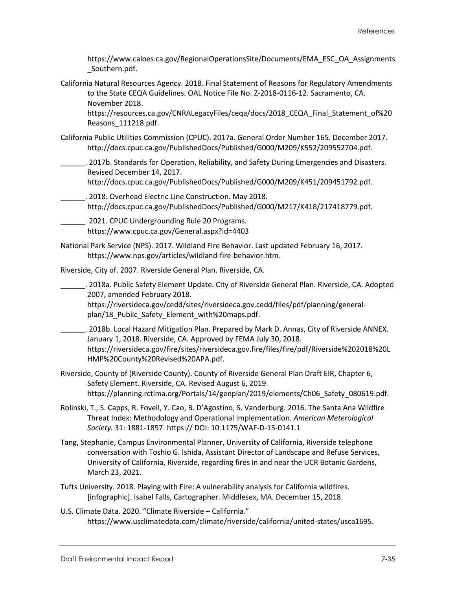[https://www.caloes.ca.gov/RegionalOperationsSite/Documents/EMA\\_ESC\\_OA\\_Assignments](https://www.caloes.ca.gov/RegionalOperationsSite/Documents/EMA_ESC_OA_Assignments_Southern.pdf) [\\_Southern.pdf.](https://www.caloes.ca.gov/RegionalOperationsSite/Documents/EMA_ESC_OA_Assignments_Southern.pdf)

California Natural Resources Agency. 2018. Final Statement of Reasons for Regulatory Amendments to the State CEQA Guidelines. OAL Notice File No. Z-2018-0116-12. Sacramento, CA. November 2018.

[https://resources.ca.gov/CNRALegacyFiles/ceqa/docs/2018\\_CEQA\\_Final\\_Statement\\_of%20](https://resources.ca.gov/CNRALegacyFiles/ceqa/docs/2018_CEQA_Final_Statement_of%20Reasons_111218.pdf) [Reasons\\_111218.pdf.](https://resources.ca.gov/CNRALegacyFiles/ceqa/docs/2018_CEQA_Final_Statement_of%20Reasons_111218.pdf)

- California Public Utilities Commission (CPUC). 2017a. General Order Number 165. December 2017. [http://docs.cpuc.ca.gov/PublishedDocs/Published/G000/M209/K552/209552704.pdf.](http://docs.cpuc.ca.gov/PublishedDocs/Published/G000/M209/K552/209552704.pdf)
	- \_\_\_\_\_\_. 2017b. Standards for Operation, Reliability, and Safety During Emergencies and Disasters. Revised December 14, 2017.

[http://docs.cpuc.ca.gov/PublishedDocs/Published/G000/M209/K451/209451792.pdf.](http://docs.cpuc.ca.gov/PublishedDocs/Published/G000/M209/K451/209451792.pdf)

\_\_\_\_\_\_. 2018. Overhead Electric Line Construction. May 2018. [http://docs.cpuc.ca.gov/PublishedDocs/Published/G000/M217/K418/217418779.pdf.](http://docs.cpuc.ca.gov/PublishedDocs/Published/G000/M217/K418/217418779.pdf)

\_\_\_\_\_\_. 2021. CPUC Undergrounding Rule 20 Programs. <https://www.cpuc.ca.gov/General.aspx?id=4403>

National Park Service (NPS). 2017. Wildland Fire Behavior. Last updated February 16, 2017. [https://www.nps.gov/articles/wildland-fire-behavior.htm.](https://www.nps.gov/articles/wildland-fire-behavior.htm)

Riverside, City of. 2007. Riverside General Plan. Riverside, CA.

\_\_\_\_\_\_. 2018a. Public Safety Element Update. City of Riverside General Plan. Riverside, CA. Adopted 2007, amended February 2018.

[https://riversideca.gov/cedd/sites/riversideca.gov.cedd/files/pdf/planning/general](https://riversideca.gov/cedd/sites/riversideca.gov.cedd/files/pdf/planning/general-plan/18_Public_Safety_Element_with%20maps.pdf)[plan/18\\_Public\\_Safety\\_Element\\_with%20maps.pdf.](https://riversideca.gov/cedd/sites/riversideca.gov.cedd/files/pdf/planning/general-plan/18_Public_Safety_Element_with%20maps.pdf)

- \_\_\_\_\_\_. 2018b. Local Hazard Mitigation Plan. Prepared by Mark D. Annas, City of Riverside ANNEX. January 1, 2018. Riverside, CA. Approved by FEMA July 30, 2018. [https://riversideca.gov/fire/sites/riversideca.gov.fire/files/fire/pdf/Riverside%202018%20L](https://riversideca.gov/fire/sites/riversideca.gov.fire/files/fire/pdf/Riverside%202018%20LHMP%20County%20Revised%20APA.pdf) [HMP%20County%20Revised%20APA.pdf.](https://riversideca.gov/fire/sites/riversideca.gov.fire/files/fire/pdf/Riverside%202018%20LHMP%20County%20Revised%20APA.pdf)
- Riverside, County of (Riverside County). County of Riverside General Plan Draft EIR, Chapter 6, Safety Element. Riverside, CA. Revised August 6, 2019. [https://planning.rctlma.org/Portals/14/genplan/2019/elements/Ch06\\_Safety\\_080619.pdf.](https://planning.rctlma.org/Portals/14/genplan/2019/elements/Ch06_Safety_080619.pdf)
- Rolinski, T., S. Capps, R. Fovell, Y. Cao, B. D'Agostino, S. Vanderburg. 2016. The Santa Ana Wildfire Threat Index: Methodology and Operational Implementation. *American Meterological Society.* 31: 1881-1897. https:// DOI: 10.1175/WAF-D-15-0141.1
- Tang, Stephanie, Campus Environmental Planner, University of California, Riverside telephone conversation with Toshio G. Ishida, Assistant Director of Landscape and Refuse Services, University of California, Riverside, regarding fires in and near the UCR Botanic Gardens, March 23, 2021.
- Tufts University. 2018. Playing with Fire: A vulnerability analysis for California wildfires. [infographic]. Isabel Falls, Cartographer. Middlesex, MA. December 15, 2018.
- U.S. Climate Data. 2020. "Climate Riverside California." [https://www.usclimatedata.com/climate/riverside/california/united-states/usca1695.](https://www.usclimatedata.com/climate/riverside/california/united-states/usca1695)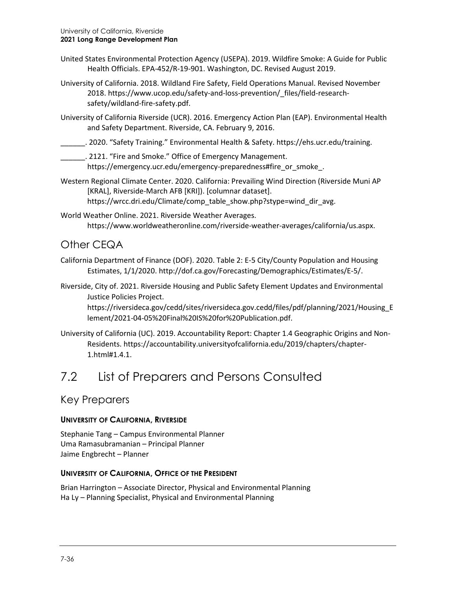- United States Environmental Protection Agency (USEPA). 2019. Wildfire Smoke: A Guide for Public Health Officials. EPA-452/R-19-901. Washington, DC. Revised August 2019.
- University of California. 2018. Wildland Fire Safety, Field Operations Manual. Revised November 2018. [https://www.ucop.edu/safety-and-loss-prevention/\\_files/field-research](https://www.ucop.edu/safety-and-loss-prevention/_files/field-research-safety/wildland-fire-safety.pdf)[safety/wildland-fire-safety.pdf.](https://www.ucop.edu/safety-and-loss-prevention/_files/field-research-safety/wildland-fire-safety.pdf)
- University of California Riverside (UCR). 2016. Emergency Action Plan (EAP). Environmental Health and Safety Department. Riverside, CA. February 9, 2016.
- \_\_\_\_\_\_. 2020. "Safety Training." Environmental Health & Safety. [https://ehs.ucr.edu/training.](https://ehs.ucr.edu/training)
- \_\_\_\_\_\_. 2121. "Fire and Smoke." Office of Emergency Management. [https://emergency.ucr.edu/emergency-preparedness#fire\\_or\\_smoke\\_.](https://emergency.ucr.edu/emergency-preparedness#fire_or_smoke_)
- Western Regional Climate Center. 2020. California: Prevailing Wind Direction (Riverside Muni AP [KRAL], Riverside-March AFB [KRI]). [columnar dataset]. [https://wrcc.dri.edu/Climate/comp\\_table\\_show.php?stype=wind\\_dir\\_avg.](https://wrcc.dri.edu/Climate/comp_table_show.php?stype=wind_dir_avg)
- World Weather Online. 2021. Riverside Weather Averages. [https://www.worldweatheronline.com/riverside-weather-averages/california/us.aspx.](https://www.worldweatheronline.com/riverside-weather-averages/california/us.aspx)

### Other CEQA

- California Department of Finance (DOF). 2020. Table 2: E-5 City/County Population and Housing Estimates, 1/1/2020. [http://dof.ca.gov/Forecasting/Demographics/Estimates/E-5/.](http://dof.ca.gov/Forecasting/Demographics/Estimates/E-5/)
- Riverside, City of. 2021. Riverside Housing and Public Safety Element Updates and Environmental Justice Policies Project.

[https://riversideca.gov/cedd/sites/riversideca.gov.cedd/files/pdf/planning/2021/Housing\\_E](https://riversideca.gov/cedd/sites/riversideca.gov.cedd/files/pdf/planning/2021/Housing_Element/2021-04-05%20Final%20IS%20for%20Publication.pdf) [lement/2021-04-05%20Final%20IS%20for%20Publication.pdf.](https://riversideca.gov/cedd/sites/riversideca.gov.cedd/files/pdf/planning/2021/Housing_Element/2021-04-05%20Final%20IS%20for%20Publication.pdf)

University of California (UC). 2019. Accountability Report: Chapter 1.4 Geographic Origins and Non-Residents. https://accountability.universityofcalifornia.edu/2019/chapters/chapter-1.html#1.4.1.

## 7.2 List of Preparers and Persons Consulted

#### Key Preparers

#### **UNIVERSITY OF CALIFORNIA, RIVERSIDE**

Stephanie Tang – Campus Environmental Planner Uma Ramasubramanian – Principal Planner Jaime Engbrecht – Planner

#### **UNIVERSITY OF CALIFORNIA, OFFICE OF THE PRESIDENT**

Brian Harrington – Associate Director, Physical and Environmental Planning Ha Ly – Planning Specialist, Physical and Environmental Planning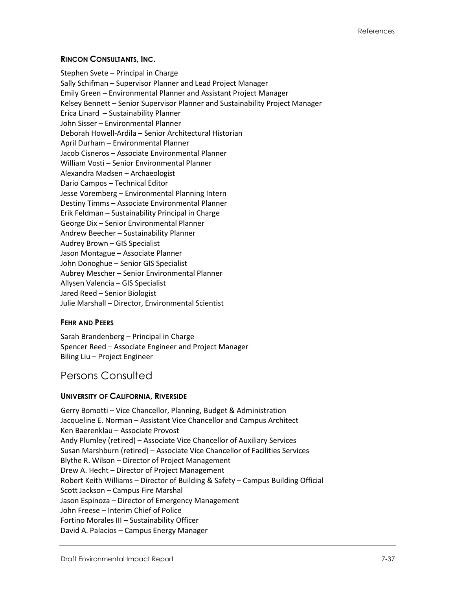#### **RINCON CONSULTANTS, INC.**

Stephen Svete – Principal in Charge Sally Schifman – Supervisor Planner and Lead Project Manager Emily Green – Environmental Planner and Assistant Project Manager Kelsey Bennett – Senior Supervisor Planner and Sustainability Project Manager Erica Linard – Sustainability Planner John Sisser – Environmental Planner Deborah Howell-Ardila – Senior Architectural Historian April Durham – Environmental Planner Jacob Cisneros – Associate Environmental Planner William Vosti – Senior Environmental Planner Alexandra Madsen – Archaeologist Dario Campos – Technical Editor Jesse Voremberg – Environmental Planning Intern Destiny Timms – Associate Environmental Planner Erik Feldman – Sustainability Principal in Charge George Dix – Senior Environmental Planner Andrew Beecher – Sustainability Planner Audrey Brown – GIS Specialist Jason Montague – Associate Planner John Donoghue – Senior GIS Specialist Aubrey Mescher – Senior Environmental Planner Allysen Valencia – GIS Specialist Jared Reed – Senior Biologist Julie Marshall – Director, Environmental Scientist

#### **FFHR AND PFFRS**

Sarah Brandenberg – Principal in Charge Spencer Reed – Associate Engineer and Project Manager Biling Liu – Project Engineer

#### Persons Consulted

#### **UNIVERSITY OF CALIFORNIA, RIVERSIDE**

Gerry Bomotti – Vice Chancellor, Planning, Budget & Administration Jacqueline E. Norman – Assistant Vice Chancellor and Campus Architect Ken Baerenklau – Associate Provost Andy Plumley (retired) – Associate Vice Chancellor of Auxiliary Services Susan Marshburn (retired) – Associate Vice Chancellor of Facilities Services Blythe R. Wilson – Director of Project Management Drew A. Hecht – Director of Project Management Robert Keith Williams – Director of Building & Safety – Campus Building Official Scott Jackson – Campus Fire Marshal Jason Espinoza – Director of Emergency Management John Freese – Interim Chief of Police Fortino Morales III – Sustainability Officer David A. Palacios – Campus Energy Manager